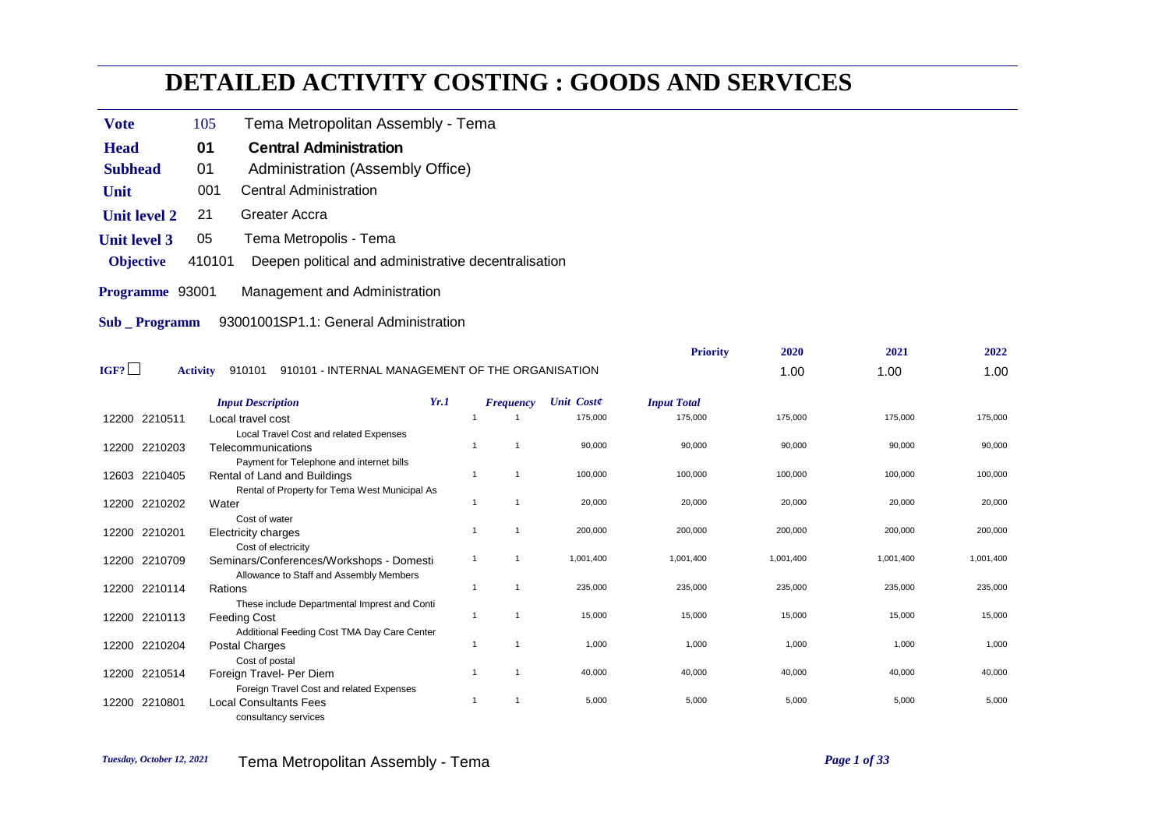## **DETAILED ACTIVITY COSTING : GOODS AND SERVICES**

- **Vote** 105 Tema Metropolitan Assembly Tema
- **Head** 01 Central Administration
- **Subhead** 01 Administration (Assembly Office)
- **Unit** 001 Central Administration
- **Unit level 2** 21 Greater Accra
- **Unit level 3** 05 Tema Metropolis Tema
- **Objective** 410101 Deepen political and administrative decentralisation
- **Programme** 93001 Management and Administration
- **Sub \_ Programm** 93001001SP1.1: General Administration

|                  |                                                                               |                |                  |                   | <b>Priority</b>    | 2020      | 2021      | 2022      |
|------------------|-------------------------------------------------------------------------------|----------------|------------------|-------------------|--------------------|-----------|-----------|-----------|
| IGF?             | 910101 - INTERNAL MANAGEMENT OF THE ORGANISATION<br><b>Activity</b><br>910101 |                |                  |                   |                    | 1.00      | 1.00      | 1.00      |
|                  | <b>Input Description</b>                                                      | Yr.1           | <b>Frequency</b> | <b>Unit Coste</b> | <b>Input Total</b> |           |           |           |
| 12200 2210511    | Local travel cost                                                             |                |                  | 175,000           | 175,000            | 175,000   | 175,000   | 175,000   |
|                  | Local Travel Cost and related Expenses                                        |                |                  |                   |                    |           |           |           |
| 12200 2210203    | Telecommunications                                                            |                |                  | 90,000            | 90,000             | 90,000    | 90,000    | 90,000    |
|                  | Payment for Telephone and internet bills                                      |                |                  |                   |                    |           |           |           |
| 12603 2210405    | Rental of Land and Buildings                                                  | -1             |                  | 100,000           | 100,000            | 100,000   | 100,000   | 100,000   |
|                  | Rental of Property for Tema West Municipal As                                 |                |                  |                   |                    |           |           |           |
| 12200 2210202    | Water                                                                         |                |                  | 20,000            | 20,000             | 20,000    | 20,000    | 20,000    |
|                  | Cost of water                                                                 |                |                  |                   |                    |           |           |           |
| 12200<br>2210201 | <b>Electricity charges</b>                                                    |                |                  | 200,000           | 200,000            | 200,000   | 200,000   | 200,000   |
|                  | Cost of electricity                                                           |                |                  |                   |                    |           |           |           |
| 12200 2210709    | Seminars/Conferences/Workshops - Domesti                                      | $\overline{1}$ |                  | 1,001,400         | 1,001,400          | 1,001,400 | 1,001,400 | 1,001,400 |
|                  | Allowance to Staff and Assembly Members                                       | $\overline{1}$ |                  | 235,000           | 235,000            | 235,000   | 235,000   | 235,000   |
| 12200 2210114    | Rations                                                                       |                |                  |                   |                    |           |           |           |
|                  | These include Departmental Imprest and Conti                                  | -1             |                  | 15,000            | 15,000             | 15,000    | 15,000    | 15,000    |
| 12200 2210113    | <b>Feeding Cost</b><br>Additional Feeding Cost TMA Day Care Center            |                |                  |                   |                    |           |           |           |
| 12200 2210204    | Postal Charges                                                                |                |                  | 1,000             | 1,000              | 1,000     | 1,000     | 1,000     |
|                  | Cost of postal                                                                |                |                  |                   |                    |           |           |           |
| 12200 2210514    | Foreign Travel- Per Diem                                                      |                |                  | 40,000            | 40,000             | 40,000    | 40,000    | 40,000    |
|                  | Foreign Travel Cost and related Expenses                                      |                |                  |                   |                    |           |           |           |
| 2210801<br>12200 | <b>Local Consultants Fees</b>                                                 |                |                  | 5,000             | 5,000              | 5,000     | 5,000     | 5,000     |
|                  | consultancy services                                                          |                |                  |                   |                    |           |           |           |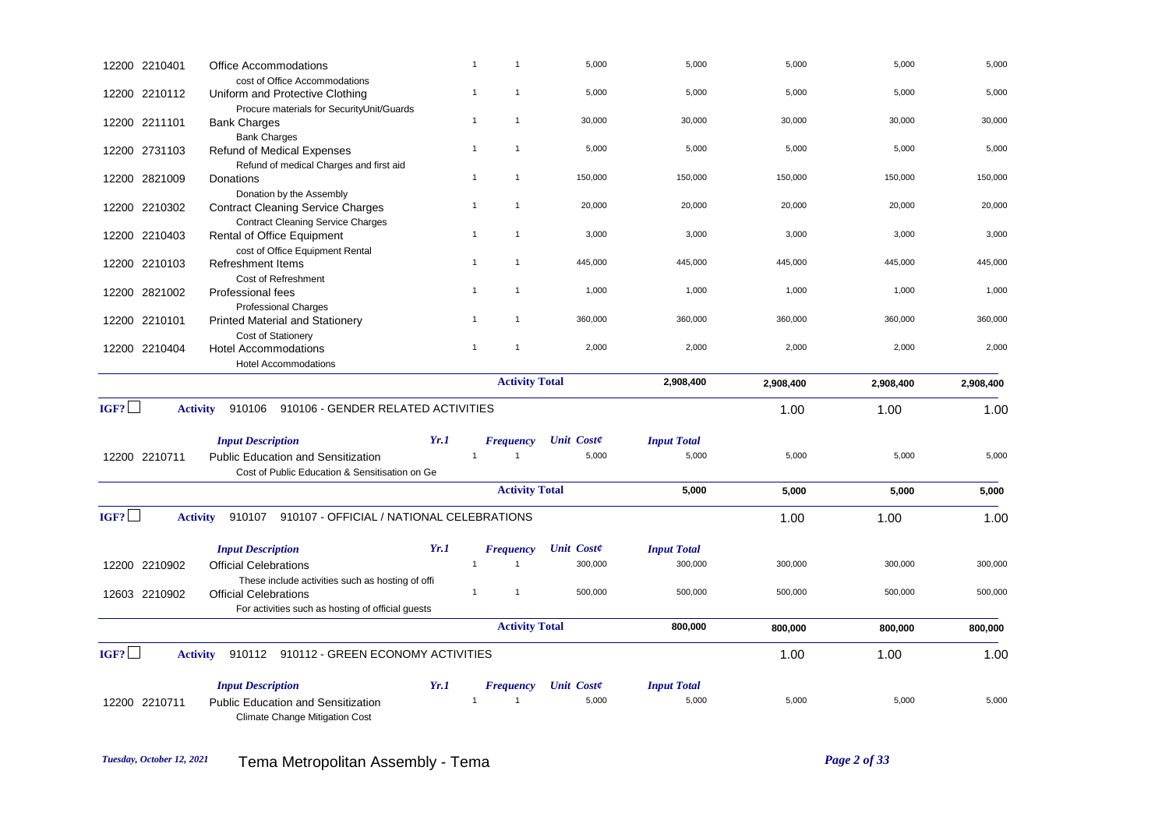|      | 12200 2210401   | <b>Office Accommodations</b>                                     |      | $\mathbf{1}$                 | 5,000             | 5,000              | 5,000     | 5,000     | 5,000     |
|------|-----------------|------------------------------------------------------------------|------|------------------------------|-------------------|--------------------|-----------|-----------|-----------|
|      | 12200 2210112   | cost of Office Accommodations<br>Uniform and Protective Clothing |      | $\mathbf{1}$<br>$\mathbf{1}$ | 5,000             | 5,000              | 5,000     | 5,000     | 5,000     |
|      |                 | Procure materials for SecurityUnit/Guards                        |      |                              |                   |                    |           |           |           |
|      | 12200 2211101   | <b>Bank Charges</b>                                              |      | $\mathbf{1}$<br>$\mathbf{1}$ | 30,000            | 30,000             | 30,000    | 30,000    | 30,000    |
|      |                 | <b>Bank Charges</b>                                              |      | $\mathbf{1}$                 | 5,000             | 5,000              | 5,000     | 5,000     | 5,000     |
|      | 12200 2731103   | <b>Refund of Medical Expenses</b>                                |      |                              |                   |                    |           |           |           |
|      | 12200 2821009   | Refund of medical Charges and first aid<br>Donations             |      | $\mathbf{1}$<br>$\mathbf{1}$ | 150,000           | 150,000            | 150,000   | 150,000   | 150,000   |
|      |                 | Donation by the Assembly                                         |      |                              |                   |                    |           |           |           |
|      | 12200 2210302   | <b>Contract Cleaning Service Charges</b>                         |      | $\mathbf{1}$<br>$\mathbf{1}$ | 20,000            | 20,000             | 20,000    | 20,000    | 20,000    |
|      |                 | <b>Contract Cleaning Service Charges</b>                         |      |                              |                   |                    |           |           |           |
|      | 12200 2210403   | Rental of Office Equipment                                       |      | $\mathbf{1}$                 | 3,000             | 3,000              | 3,000     | 3,000     | 3,000     |
|      |                 | cost of Office Equipment Rental                                  |      |                              |                   |                    |           |           |           |
|      | 12200 2210103   | <b>Refreshment Items</b>                                         |      | $\mathbf{1}$<br>$\mathbf{1}$ | 445,000           | 445,000            | 445,000   | 445,000   | 445,000   |
|      |                 | Cost of Refreshment                                              |      |                              |                   |                    |           |           |           |
|      | 12200 2821002   | <b>Professional fees</b>                                         |      | $\mathbf{1}$<br>$\mathbf{1}$ | 1,000             | 1,000              | 1,000     | 1,000     | 1,000     |
|      |                 | <b>Professional Charges</b>                                      |      |                              |                   |                    |           |           |           |
|      | 12200 2210101   | <b>Printed Material and Stationery</b>                           |      | $\mathbf{1}$                 | 360,000           | 360,000            | 360,000   | 360,000   | 360,000   |
|      |                 | Cost of Stationery                                               |      | $\mathbf{1}$<br>$\mathbf{1}$ | 2,000             | 2,000              | 2,000     | 2,000     | 2,000     |
|      | 12200 2210404   | <b>Hotel Accommodations</b>                                      |      |                              |                   |                    |           |           |           |
|      |                 | <b>Hotel Accommodations</b>                                      |      |                              |                   |                    |           |           |           |
|      |                 |                                                                  |      | <b>Activity Total</b>        |                   | 2,908,400          | 2,908,400 | 2,908,400 | 2,908,400 |
| IGF? | <b>Activity</b> | 910106<br>910106 - GENDER RELATED ACTIVITIES                     |      |                              |                   |                    | 1.00      | 1.00      | 1.00      |
|      |                 | <b>Input Description</b>                                         | Yr.1 | <b>Frequency</b>             | <b>Unit Coste</b> | <b>Input Total</b> |           |           |           |
|      | 12200 2210711   | <b>Public Education and Sensitization</b>                        |      | $\mathbf{1}$<br>$\mathbf{1}$ | 5,000             | 5,000              | 5,000     | 5,000     | 5,000     |
|      |                 | Cost of Public Education & Sensitisation on Ge                   |      |                              |                   |                    |           |           |           |
|      |                 |                                                                  |      | <b>Activity Total</b>        |                   | 5,000              | 5,000     | 5,000     | 5,000     |
| IGF? | <b>Activity</b> | 910107 910107 - OFFICIAL / NATIONAL CELEBRATIONS                 |      |                              |                   |                    | 1.00      | 1.00      | 1.00      |
|      |                 |                                                                  |      |                              |                   |                    |           |           |           |
|      |                 | <b>Input Description</b>                                         | Yr.1 | <b>Frequency</b>             | <b>Unit Coste</b> | <b>Input Total</b> |           |           |           |
|      | 12200 2210902   | <b>Official Celebrations</b>                                     |      | $\mathbf{1}$<br>$\mathbf{1}$ | 300,000           | 300,000            | 300,000   | 300,000   | 300,000   |
|      |                 | These include activities such as hosting of offi-                |      | $\mathbf{1}$<br>$\mathbf{1}$ | 500,000           | 500,000            | 500,000   | 500,000   | 500,000   |
|      | 12603 2210902   | <b>Official Celebrations</b>                                     |      |                              |                   |                    |           |           |           |
|      |                 | For activities such as hosting of official guests                |      |                              |                   |                    |           |           |           |
|      |                 |                                                                  |      | <b>Activity Total</b>        |                   | 800,000            | 800,000   | 800,000   | 800,000   |
| IGF? | <b>Activity</b> | 910112 910112 - GREEN ECONOMY ACTIVITIES                         |      |                              |                   |                    | 1.00      | 1.00      | 1.00      |
|      |                 | <b>Input Description</b>                                         | Yr.1 | <b>Frequency</b>             | <b>Unit Coste</b> | <b>Input Total</b> |           |           |           |
|      | 12200 2210711   | <b>Public Education and Sensitization</b>                        |      |                              | 5,000             | 5,000              | 5,000     | 5,000     | 5,000     |
|      |                 | <b>Climate Change Mitigation Cost</b>                            |      |                              |                   |                    |           |           |           |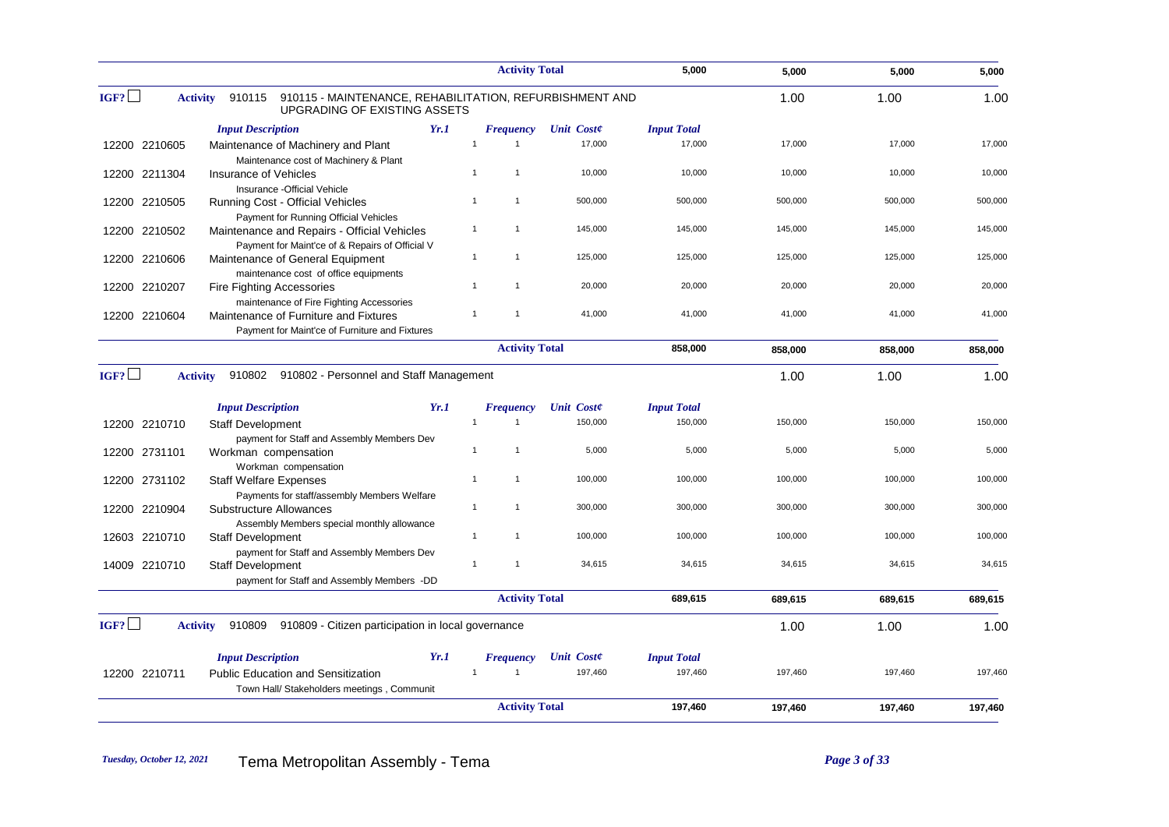|      |                 |                                                                                                   |      | <b>Activity Total</b>            |                   | 5,000              | 5,000   | 5,000   | 5,000   |
|------|-----------------|---------------------------------------------------------------------------------------------------|------|----------------------------------|-------------------|--------------------|---------|---------|---------|
| IGF? | <b>Activity</b> | 910115<br>910115 - MAINTENANCE, REHABILITATION, REFURBISHMENT AND<br>UPGRADING OF EXISTING ASSETS |      |                                  |                   |                    | 1.00    | 1.00    | 1.00    |
|      |                 | <b>Input Description</b>                                                                          | Yr.1 | <b>Frequency</b>                 | <b>Unit Coste</b> | <b>Input Total</b> |         |         |         |
|      | 12200 2210605   | Maintenance of Machinery and Plant<br>Maintenance cost of Machinery & Plant                       |      | $\overline{1}$<br>$\overline{1}$ | 17,000            | 17,000             | 17,000  | 17,000  | 17,000  |
|      | 12200 2211304   | Insurance of Vehicles<br>Insurance - Official Vehicle                                             |      | $\mathbf{1}$<br>$\mathbf{1}$     | 10,000            | 10,000             | 10,000  | 10,000  | 10,000  |
|      | 12200 2210505   | Running Cost - Official Vehicles<br>Payment for Running Official Vehicles                         |      | 1<br>$\mathbf{1}$                | 500,000           | 500,000            | 500,000 | 500,000 | 500,000 |
|      | 12200 2210502   | Maintenance and Repairs - Official Vehicles<br>Payment for Maint'ce of & Repairs of Official V    |      | $\mathbf{1}$<br>$\mathbf{1}$     | 145,000           | 145,000            | 145,000 | 145,000 | 145,000 |
|      | 12200 2210606   | Maintenance of General Equipment<br>maintenance cost of office equipments                         |      | $\mathbf{1}$<br>1                | 125,000           | 125,000            | 125,000 | 125,000 | 125,000 |
|      | 12200 2210207   | Fire Fighting Accessories<br>maintenance of Fire Fighting Accessories                             |      | $\mathbf{1}$<br>1                | 20,000            | 20,000             | 20,000  | 20,000  | 20,000  |
|      | 12200 2210604   | Maintenance of Furniture and Fixtures<br>Payment for Maint'ce of Furniture and Fixtures           |      | $\overline{1}$<br>$\overline{1}$ | 41,000            | 41,000             | 41,000  | 41,000  | 41,000  |
|      |                 |                                                                                                   |      | <b>Activity Total</b>            |                   | 858,000            | 858,000 | 858,000 | 858,000 |
| IGF? | <b>Activity</b> | 910802 910802 - Personnel and Staff Management                                                    |      |                                  |                   |                    | 1.00    | 1.00    | 1.00    |
|      |                 | <b>Input Description</b>                                                                          | Yr.1 | <b>Frequency</b>                 | <b>Unit Coste</b> | <b>Input Total</b> |         |         |         |
|      | 12200 2210710   | <b>Staff Development</b><br>payment for Staff and Assembly Members Dev                            |      | $\overline{1}$<br>1              | 150,000           | 150,000            | 150,000 | 150,000 | 150,000 |
|      | 12200 2731101   | Workman compensation<br>Workman compensation                                                      |      | $\mathbf{1}$<br>1                | 5,000             | 5,000              | 5,000   | 5,000   | 5,000   |
|      | 12200 2731102   | <b>Staff Welfare Expenses</b><br>Payments for staff/assembly Members Welfare                      |      | $\overline{1}$<br>$\overline{1}$ | 100,000           | 100,000            | 100,000 | 100,000 | 100,000 |
|      | 12200 2210904   | Substructure Allowances<br>Assembly Members special monthly allowance                             |      | $\overline{1}$<br>1              | 300,000           | 300,000            | 300,000 | 300,000 | 300,000 |
|      | 12603 2210710   | <b>Staff Development</b><br>payment for Staff and Assembly Members Dev                            |      | $\mathbf{1}$<br>$\mathbf{1}$     | 100,000           | 100,000            | 100,000 | 100,000 | 100,000 |
|      | 14009 2210710   | <b>Staff Development</b><br>payment for Staff and Assembly Members -DD                            |      | 1<br>$\overline{1}$              | 34,615            | 34,615             | 34,615  | 34,615  | 34,615  |
|      |                 |                                                                                                   |      | <b>Activity Total</b>            |                   | 689,615            | 689,615 | 689,615 | 689,615 |
| IGF? | <b>Activity</b> | 910809<br>910809 - Citizen participation in local governance                                      |      |                                  |                   |                    | 1.00    | 1.00    | 1.00    |
|      |                 | <b>Input Description</b>                                                                          | Yr.1 | <b>Frequency</b>                 | <b>Unit Coste</b> | <b>Input Total</b> |         |         |         |
|      | 12200 2210711   | <b>Public Education and Sensitization</b><br>Town Hall/ Stakeholders meetings, Communit           |      | $\overline{1}$                   | 197,460           | 197,460            | 197,460 | 197,460 | 197,460 |
|      |                 |                                                                                                   |      | <b>Activity Total</b>            |                   | 197,460            | 197,460 | 197,460 | 197,460 |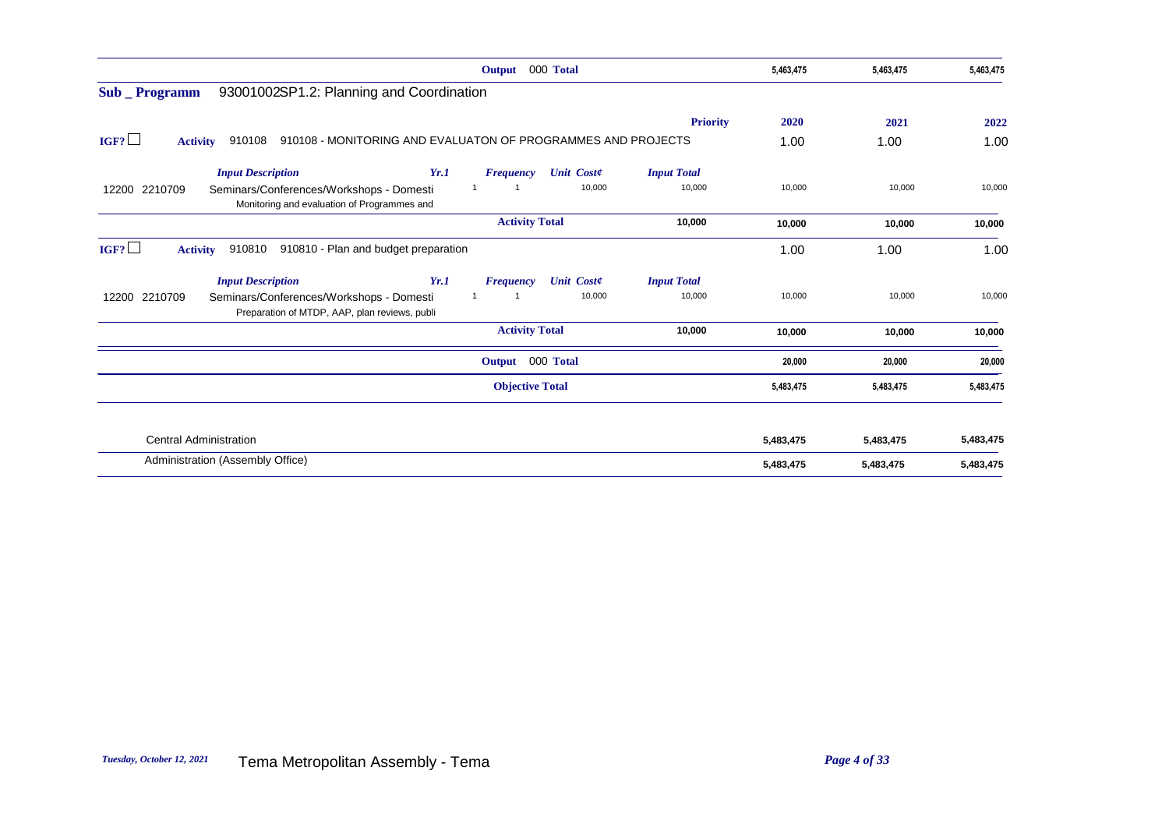| Output 000 Total                                                                                                               | 5,463,475 | 5,463,475 | 5,463,475 |
|--------------------------------------------------------------------------------------------------------------------------------|-----------|-----------|-----------|
| 93001002SP1.2: Planning and Coordination<br>Sub _ Programm                                                                     |           |           |           |
| <b>Priority</b>                                                                                                                | 2020      | 2021      | 2022      |
| IGF?<br>910108 - MONITORING AND EVALUATON OF PROGRAMMES AND PROJECTS<br>910108<br><b>Activity</b>                              | 1.00      | 1.00      | 1.00      |
| <b>Input Total</b><br><b>Input Description</b><br>Yr.1<br><b>Unit Coste</b><br><b>Frequency</b>                                |           |           |           |
| 10,000<br>10,000<br>12200 2210709<br>Seminars/Conferences/Workshops - Domesti<br>Monitoring and evaluation of Programmes and   | 10,000    | 10,000    | 10,000    |
| <b>Activity Total</b><br>10,000                                                                                                | 10,000    | 10,000    | 10,000    |
| IGF?<br>910810 - Plan and budget preparation<br><b>Activity</b><br>910810                                                      | 1.00      | 1.00      | 1.00      |
| <b>Input Description</b><br><b>Input Total</b><br>Yr.1<br><b>Unit Coste</b><br><b>Frequency</b>                                |           |           |           |
| 10,000<br>10,000<br>12200 2210709<br>Seminars/Conferences/Workshops - Domesti<br>Preparation of MTDP, AAP, plan reviews, publi | 10,000    | 10,000    | 10,000    |
| <b>Activity Total</b><br>10,000                                                                                                | 10,000    | 10,000    | 10,000    |
| Output 000 Total                                                                                                               | 20,000    | 20,000    | 20,000    |
| <b>Objective Total</b>                                                                                                         | 5,483,475 | 5,483,475 | 5,483,475 |
| <b>Central Administration</b>                                                                                                  | 5,483,475 | 5,483,475 | 5,483,475 |
| Administration (Assembly Office)                                                                                               | 5,483,475 | 5,483,475 | 5,483,475 |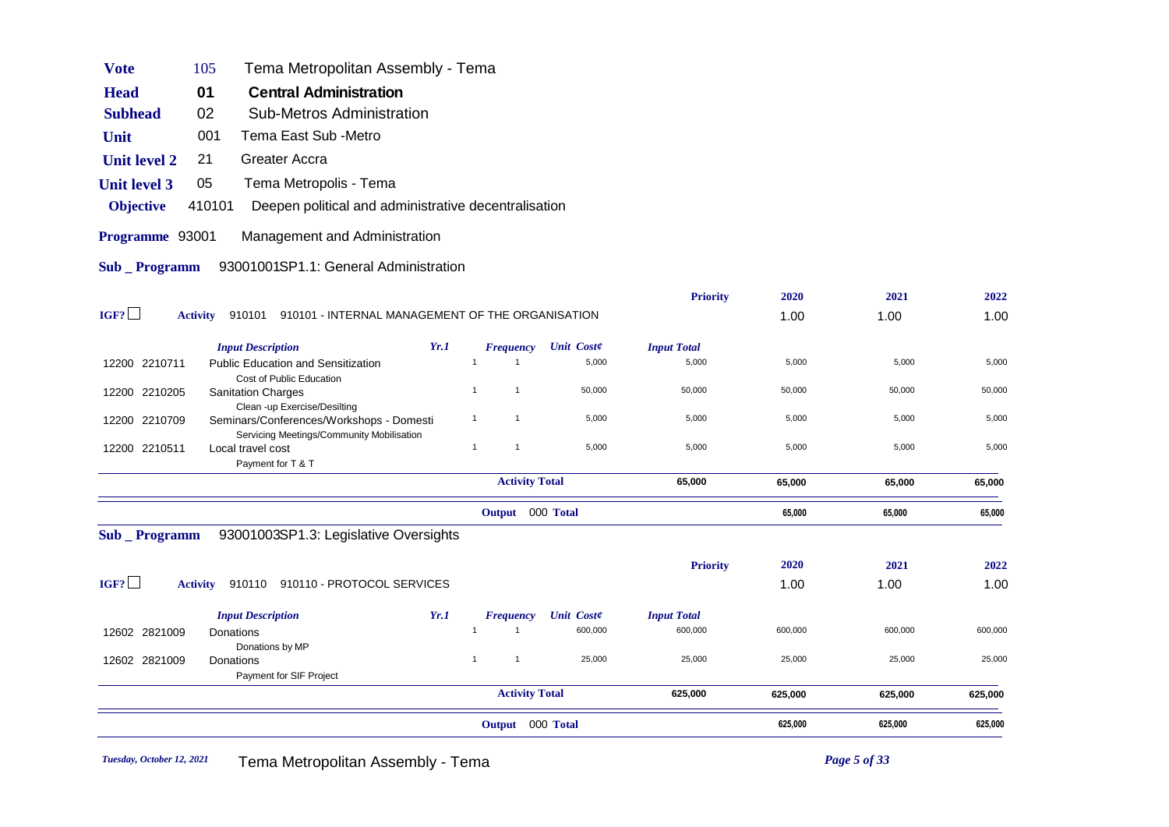|                     |                                                                                       |      | Output 000 Total               |                   |                    | 625,000 | 625,000 | 625,000 |
|---------------------|---------------------------------------------------------------------------------------|------|--------------------------------|-------------------|--------------------|---------|---------|---------|
|                     |                                                                                       |      | <b>Activity Total</b>          |                   | 625,000            | 625,000 | 625,000 | 625,000 |
| 12602 2821009       | Donations<br>Payment for SIF Project                                                  |      | $\mathbf{1}$<br>$\overline{1}$ | 25,000            | 25,000             | 25,000  | 25,000  | 25,000  |
| 12602 2821009       | Donations<br>Donations by MP                                                          |      | $\mathbf{1}$<br>$\overline{1}$ | 600,000           | 600,000            | 600,000 | 600,000 | 600,000 |
|                     | <b>Input Description</b>                                                              | Yr.1 | <b>Frequency</b>               | <b>Unit Coste</b> | <b>Input Total</b> |         |         |         |
| IGF?                | Activity 910110 910110 - PROTOCOL SERVICES                                            |      |                                |                   |                    | 1.00    | 1.00    | 1.00    |
|                     |                                                                                       |      |                                |                   | <b>Priority</b>    | 2020    | 2021    | 2022    |
| Sub _ Programm      | 93001003SP1.3: Legislative Oversights                                                 |      |                                |                   |                    |         |         |         |
|                     |                                                                                       |      | Output 000 Total               |                   |                    | 65,000  | 65,000  | 65,000  |
|                     |                                                                                       |      | <b>Activity Total</b>          |                   | 65,000             | 65,000  | 65,000  | 65,000  |
| 12200 2210511       | Local travel cost<br>Payment for T & T                                                |      | $\overline{1}$<br>$\mathbf{1}$ | 5,000             | 5,000              | 5,000   | 5,000   | 5,000   |
| 12200 2210709       | Seminars/Conferences/Workshops - Domesti<br>Servicing Meetings/Community Mobilisation |      | $\mathbf{1}$<br>$\overline{1}$ | 5,000             | 5,000              | 5,000   | 5,000   | 5,000   |
| 12200 2210205       | <b>Sanitation Charges</b><br>Clean -up Exercise/Desilting                             |      | $\overline{1}$<br>$\mathbf{1}$ | 50,000            | 50,000             | 50,000  | 50,000  | 50,000  |
| 12200 2210711       | <b>Public Education and Sensitization</b><br>Cost of Public Education                 |      | $\overline{1}$                 | 5,000             | 5,000              | 5,000   | 5,000   | 5,000   |
|                     | <b>Input Description</b>                                                              | Yr.1 | <b>Frequency</b>               | <b>Unit Coste</b> | <b>Input Total</b> |         |         |         |
| IGF?                | 910101 910101 - INTERNAL MANAGEMENT OF THE ORGANISATION<br><b>Activity</b>            |      |                                |                   |                    | 1.00    | 1.00    | 1.00    |
|                     |                                                                                       |      |                                |                   | <b>Priority</b>    | 2020    | 2021    | 2022    |
| <b>Sub</b> Programm | 93001001SP1.1: General Administration                                                 |      |                                |                   |                    |         |         |         |
| Programme 93001     | Management and Administration                                                         |      |                                |                   |                    |         |         |         |
| <b>Objective</b>    | 410101<br>Deepen political and administrative decentralisation                        |      |                                |                   |                    |         |         |         |
| <b>Unit level 3</b> | Tema Metropolis - Tema<br>05                                                          |      |                                |                   |                    |         |         |         |
| <b>Unit level 2</b> | Greater Accra<br>21                                                                   |      |                                |                   |                    |         |         |         |
| Unit                | Tema East Sub -Metro<br>001                                                           |      |                                |                   |                    |         |         |         |
| <b>Subhead</b>      | 02<br><b>Sub-Metros Administration</b>                                                |      |                                |                   |                    |         |         |         |
| <b>Head</b>         | 01<br><b>Central Administration</b>                                                   |      |                                |                   |                    |         |         |         |
| <b>Vote</b>         | Tema Metropolitan Assembly - Tema<br>105                                              |      |                                |                   |                    |         |         |         |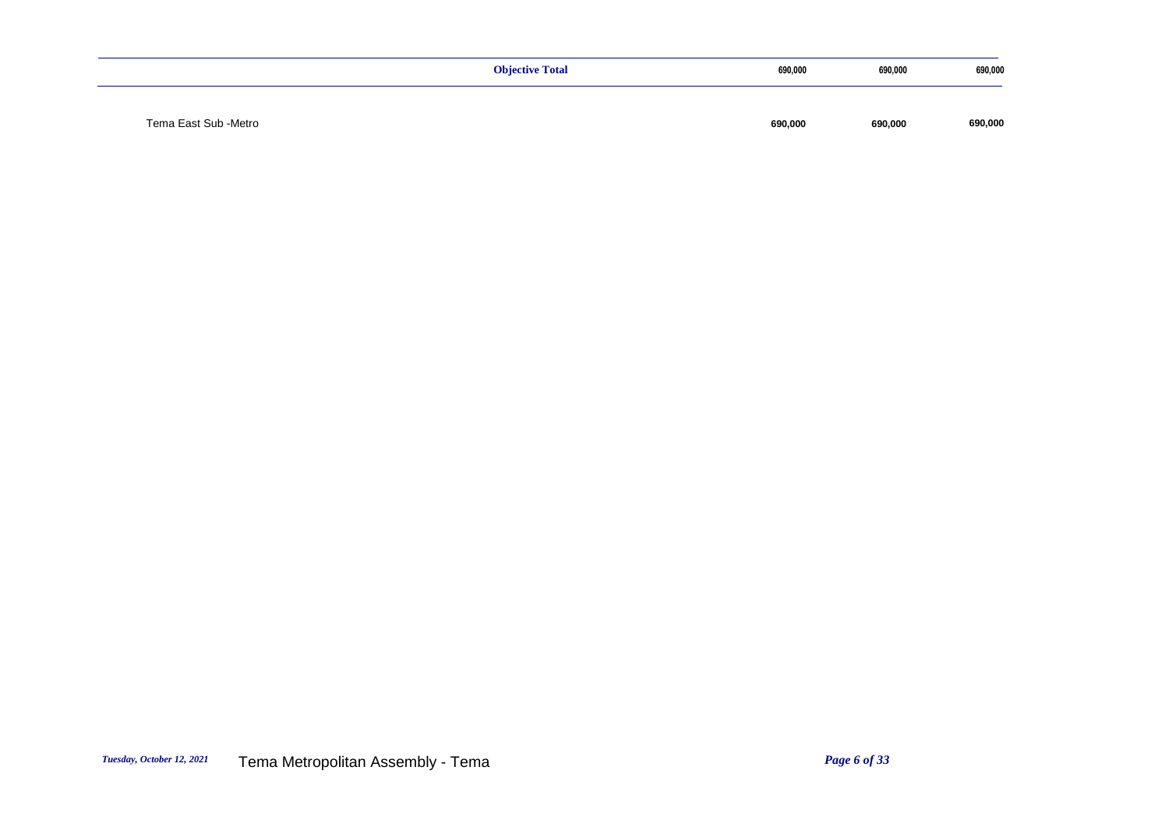|                      | <b>Objective Total</b> | 690,000 | 690,000 | 690,000 |
|----------------------|------------------------|---------|---------|---------|
|                      |                        |         |         |         |
| Tema East Sub -Metro |                        | 690,000 | 690,000 | 690,000 |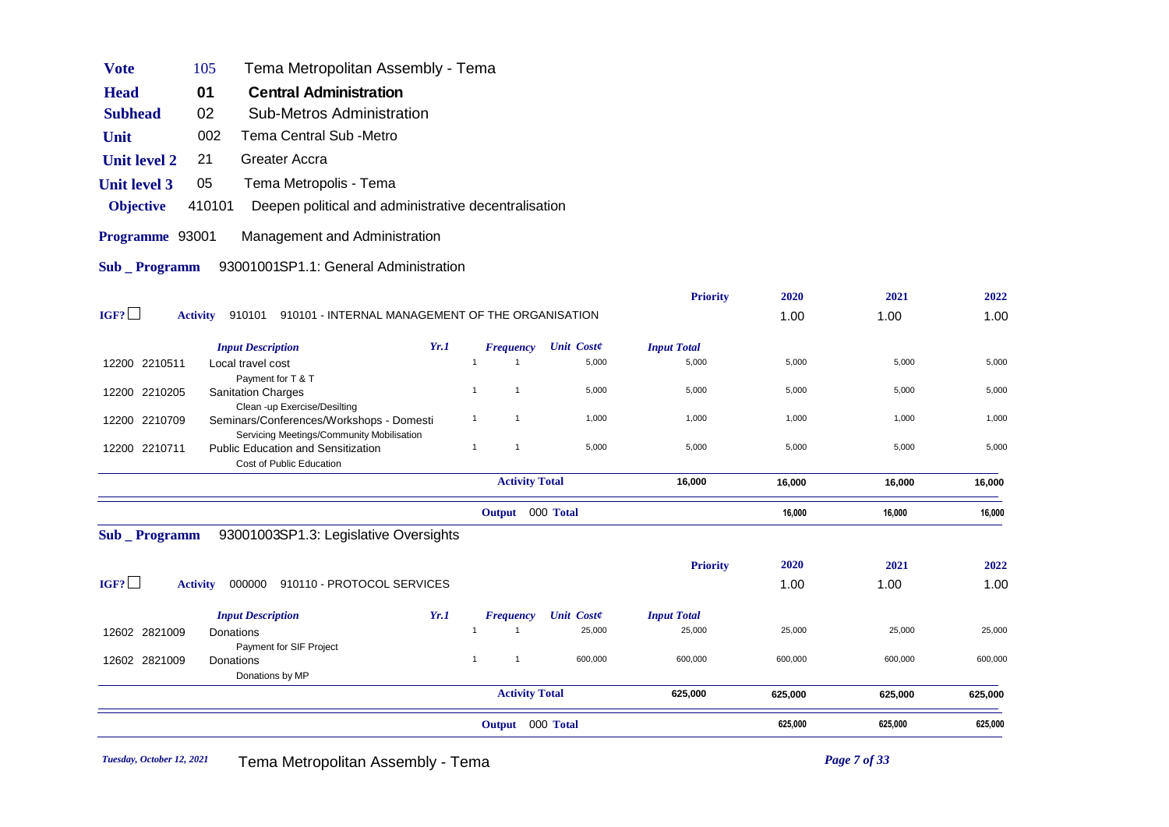| <b>Vote</b>           | Tema Metropolitan Assembly - Tema<br>105                                              |      |                                |                   |                    |         |         |         |
|-----------------------|---------------------------------------------------------------------------------------|------|--------------------------------|-------------------|--------------------|---------|---------|---------|
| <b>Head</b>           | 01<br><b>Central Administration</b>                                                   |      |                                |                   |                    |         |         |         |
| <b>Subhead</b>        | 02<br><b>Sub-Metros Administration</b>                                                |      |                                |                   |                    |         |         |         |
| Unit                  | 002<br>Tema Central Sub -Metro                                                        |      |                                |                   |                    |         |         |         |
| <b>Unit level 2</b>   | Greater Accra<br>21                                                                   |      |                                |                   |                    |         |         |         |
| <b>Unit level 3</b>   | 05<br>Tema Metropolis - Tema                                                          |      |                                |                   |                    |         |         |         |
| <b>Objective</b>      | 410101<br>Deepen political and administrative decentralisation                        |      |                                |                   |                    |         |         |         |
| Programme 93001       | Management and Administration                                                         |      |                                |                   |                    |         |         |         |
| <b>Sub</b> _ Programm | 93001001SP1.1: General Administration                                                 |      |                                |                   |                    |         |         |         |
|                       |                                                                                       |      |                                |                   | <b>Priority</b>    | 2020    | 2021    | 2022    |
| IGF?                  | 910101 910101 - INTERNAL MANAGEMENT OF THE ORGANISATION<br><b>Activity</b>            |      |                                |                   |                    | 1.00    | 1.00    | 1.00    |
|                       | <b>Input Description</b>                                                              | Yr.1 | <b>Frequency</b>               | <b>Unit Coste</b> | <b>Input Total</b> |         |         |         |
| 12200 2210511         | Local travel cost                                                                     |      | $\overline{1}$<br>$\mathbf{1}$ | 5,000             | 5,000              | 5,000   | 5,000   | 5,000   |
| 12200 2210205         | Payment for T & T<br><b>Sanitation Charges</b>                                        |      | $\overline{1}$<br>$\mathbf{1}$ | 5,000             | 5,000              | 5,000   | 5,000   | 5,000   |
|                       | Clean -up Exercise/Desilting                                                          |      |                                |                   |                    |         |         |         |
| 12200 2210709         | Seminars/Conferences/Workshops - Domesti<br>Servicing Meetings/Community Mobilisation |      | $\mathbf{1}$<br>$\overline{1}$ | 1,000             | 1,000              | 1,000   | 1,000   | 1,000   |
| 12200 2210711         | <b>Public Education and Sensitization</b><br>Cost of Public Education                 |      | $\mathbf{1}$<br>$\overline{1}$ | 5,000             | 5,000              | 5,000   | 5,000   | 5,000   |
|                       |                                                                                       |      | <b>Activity Total</b>          |                   | 16,000             | 16,000  | 16,000  | 16,000  |
|                       |                                                                                       |      | Output 000 Total               |                   |                    | 16,000  | 16,000  | 16,000  |
| Sub _ Programm        | 93001003SP1.3: Legislative Oversights                                                 |      |                                |                   |                    |         |         |         |
|                       |                                                                                       |      |                                |                   | <b>Priority</b>    | 2020    | 2021    | 2022    |
| IGF?                  | <b>Activity</b><br>000000 910110 - PROTOCOL SERVICES                                  |      |                                |                   |                    | 1.00    | 1.00    | 1.00    |
|                       | <b>Input Description</b>                                                              | Yr.1 | <b>Frequency</b>               | <b>Unit Coste</b> | <b>Input Total</b> |         |         |         |
| 12602 2821009         | Donations                                                                             |      | $\mathbf{1}$<br>$\overline{1}$ | 25,000            | 25,000             | 25,000  | 25,000  | 25,000  |
| 12602 2821009         | Payment for SIF Project<br>Donations                                                  |      | $\mathbf{1}$<br>$\mathbf{1}$   | 600,000           | 600,000            | 600,000 | 600,000 | 600,000 |
|                       | Donations by MP                                                                       |      |                                |                   |                    |         |         |         |
|                       |                                                                                       |      | <b>Activity Total</b>          |                   | 625,000            | 625,000 | 625,000 | 625,000 |
|                       |                                                                                       |      | Output 000 Total               |                   |                    | 625,000 | 625,000 | 625,000 |
|                       |                                                                                       |      |                                |                   |                    |         |         |         |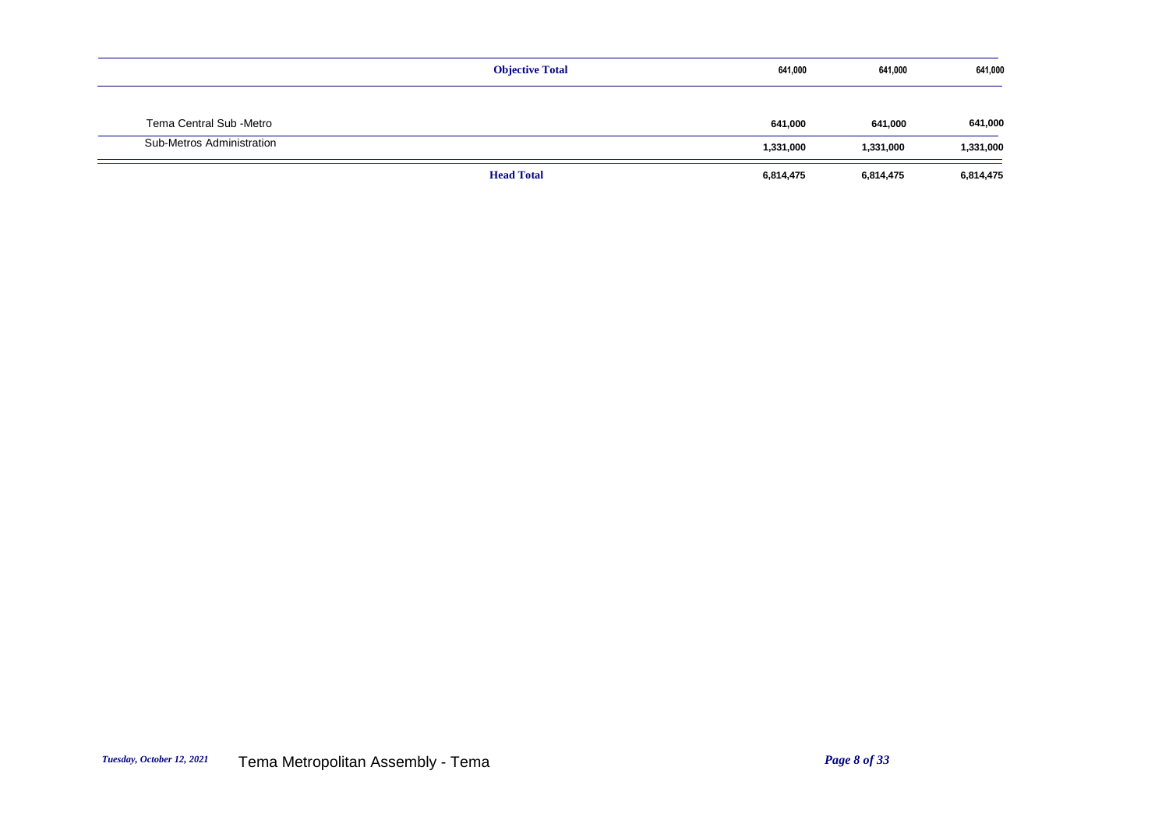|                           | <b>Objective Total</b> | 641,000   | 641,000   | 641,000   |
|---------------------------|------------------------|-----------|-----------|-----------|
|                           |                        |           |           |           |
| Tema Central Sub -Metro   |                        | 641,000   | 641,000   | 641,000   |
| Sub-Metros Administration |                        | 1,331,000 | 1,331,000 | 1,331,000 |
|                           | <b>Head Total</b>      | 6,814,475 | 6,814,475 | 6,814,475 |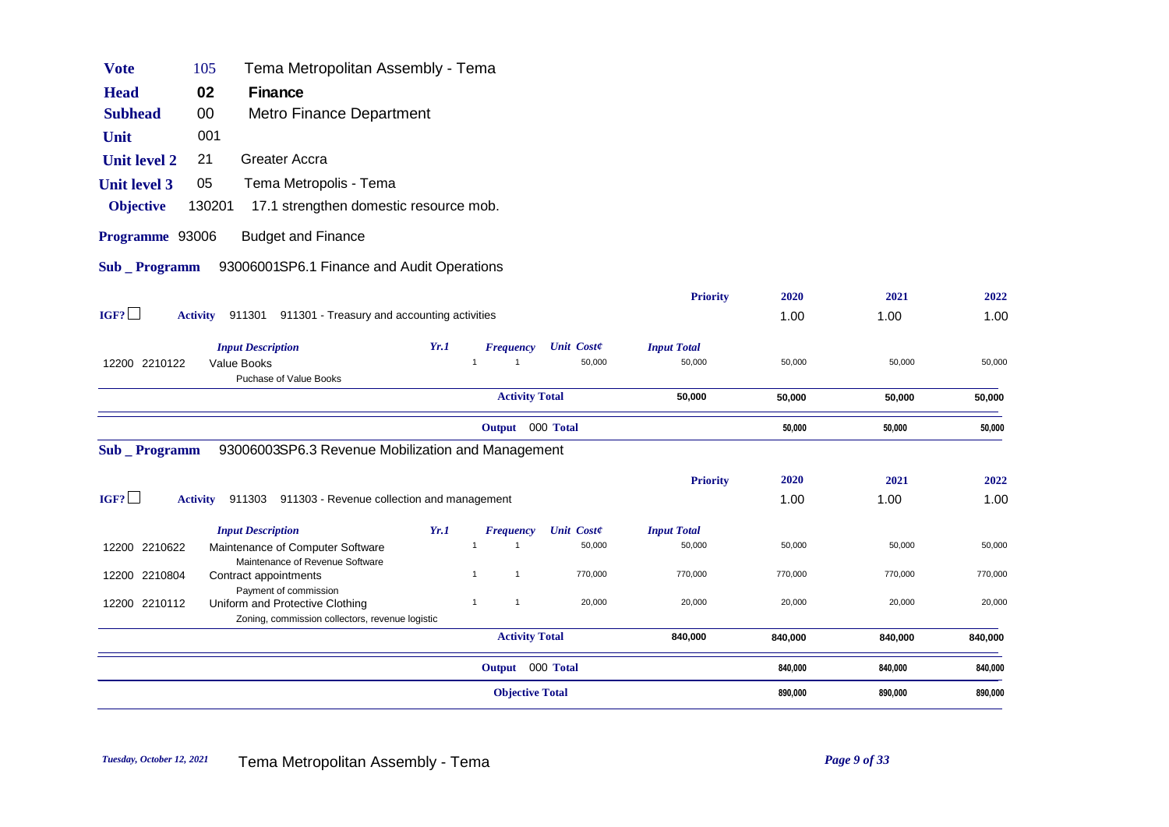| <b>Head</b>           | 02<br>Finance                                                         |      |                              |                   |                    |         |         |         |
|-----------------------|-----------------------------------------------------------------------|------|------------------------------|-------------------|--------------------|---------|---------|---------|
| <b>Subhead</b>        | <b>Metro Finance Department</b><br>00                                 |      |                              |                   |                    |         |         |         |
| Unit                  | 001                                                                   |      |                              |                   |                    |         |         |         |
| <b>Unit level 2</b>   | 21<br>Greater Accra                                                   |      |                              |                   |                    |         |         |         |
| <b>Unit level 3</b>   | 05<br>Tema Metropolis - Tema                                          |      |                              |                   |                    |         |         |         |
| <b>Objective</b>      | 17.1 strengthen domestic resource mob.<br>130201                      |      |                              |                   |                    |         |         |         |
| Programme 93006       | <b>Budget and Finance</b>                                             |      |                              |                   |                    |         |         |         |
| <b>Sub</b> _ Programm | 93006001SP6.1 Finance and Audit Operations                            |      |                              |                   |                    |         |         |         |
|                       |                                                                       |      |                              |                   |                    |         |         |         |
|                       |                                                                       |      |                              |                   | <b>Priority</b>    | 2020    | 2021    | 2022    |
| IGF?                  | 911301 911301 - Treasury and accounting activities<br><b>Activity</b> |      |                              |                   |                    | 1.00    | 1.00    | 1.00    |
|                       | <b>Input Description</b>                                              | Yr.1 | <b>Frequency</b>             | <b>Unit Coste</b> | <b>Input Total</b> |         |         |         |
| 12200 2210122         | Value Books                                                           |      | $\mathbf{1}$<br>$\mathbf{1}$ | 50,000            | 50,000             | 50,000  | 50,000  | 50,000  |
|                       | Puchase of Value Books                                                |      |                              |                   |                    |         |         |         |
|                       |                                                                       |      | <b>Activity Total</b>        |                   | 50,000             | 50,000  | 50,000  | 50,000  |
|                       |                                                                       |      | Output 000 Total             |                   |                    | 50,000  | 50,000  | 50,000  |
| Sub _ Programm        | 93006003SP6.3 Revenue Mobilization and Management                     |      |                              |                   |                    |         |         |         |
|                       |                                                                       |      |                              |                   | <b>Priority</b>    | 2020    | 2021    | 2022    |
| IGF?                  | Activity 911303 911303 - Revenue collection and management            |      |                              |                   |                    | 1.00    | 1.00    | 1.00    |
|                       | <b>Input Description</b>                                              | Yr.1 | <b>Frequency</b>             | <b>Unit Coste</b> | <b>Input Total</b> |         |         |         |
| 12200 2210622         | Maintenance of Computer Software                                      |      | $\mathbf{1}$                 | 50,000            | 50,000             | 50,000  | 50,000  | 50,000  |
|                       | Maintenance of Revenue Software                                       |      |                              |                   |                    |         |         |         |
| 12200 2210804         | Contract appointments                                                 |      | $\mathbf{1}$<br>$\mathbf{1}$ | 770,000           | 770,000            | 770,000 | 770,000 | 770,000 |
|                       | Payment of commission                                                 |      |                              |                   |                    |         |         |         |
| 12200 2210112         | Uniform and Protective Clothing                                       |      | $\mathbf{1}$<br>$\mathbf{1}$ | 20,000            | 20,000             | 20,000  | 20,000  | 20,000  |
|                       | Zoning, commission collectors, revenue logistic                       |      | <b>Activity Total</b>        |                   | 840,000            | 840,000 | 840,000 | 840,000 |
|                       |                                                                       |      |                              |                   |                    |         |         |         |
|                       |                                                                       |      | Output 000 Total             |                   |                    | 840,000 | 840,000 | 840,000 |
|                       |                                                                       |      | <b>Objective Total</b>       |                   |                    | 890,000 | 890,000 | 890,000 |
|                       |                                                                       |      |                              |                   |                    |         |         |         |

Vote 105 Tema Metropolitan Assembly - Tema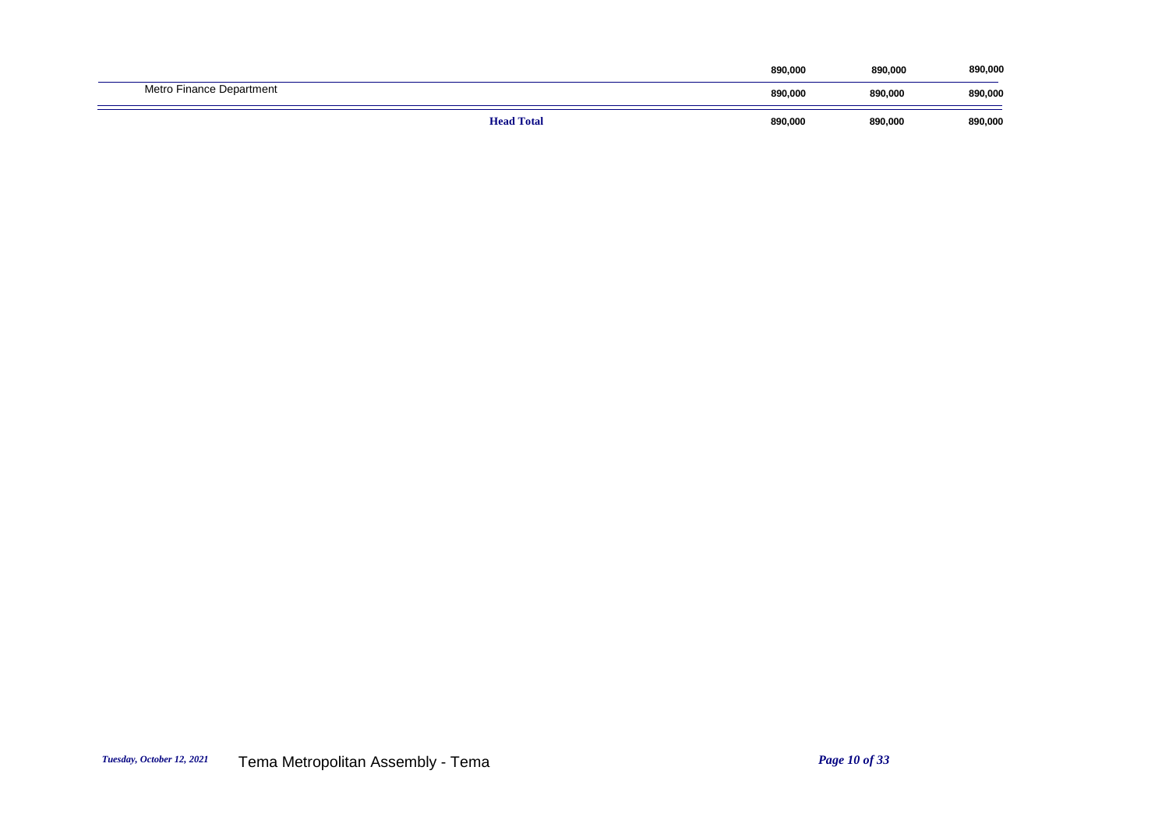|                          |                   | 890,000 | 890,000 | 890,000 |
|--------------------------|-------------------|---------|---------|---------|
| Metro Finance Department |                   | 890.000 | 890.000 | 890,000 |
|                          | <b>Head Total</b> | 890,000 | 890,000 | 890,000 |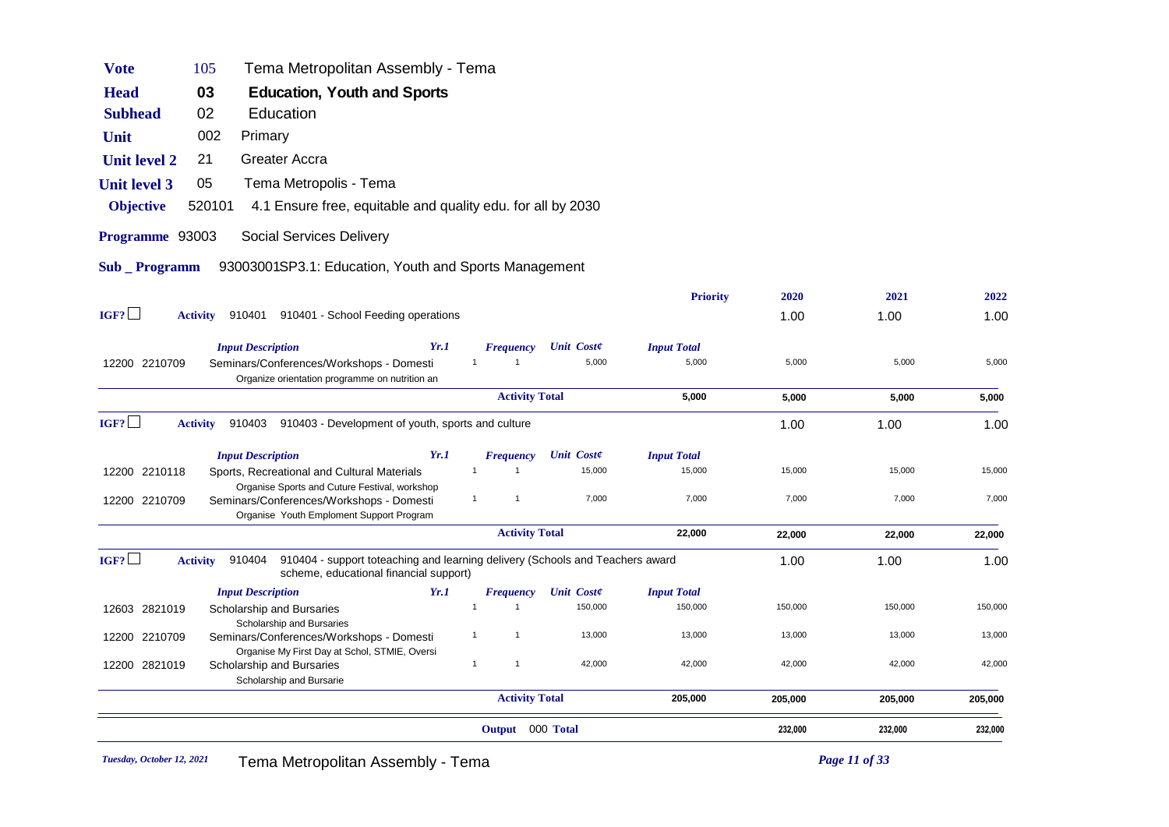|                     |                                                                                                                                                      |              | Output 000 Total      |                             |                              | 232,000 | 232,000 | 232,000 |
|---------------------|------------------------------------------------------------------------------------------------------------------------------------------------------|--------------|-----------------------|-----------------------------|------------------------------|---------|---------|---------|
|                     |                                                                                                                                                      |              | <b>Activity Total</b> |                             | 205,000                      | 205,000 | 205,000 | 205,000 |
| 12200 2821019       | Scholarship and Bursaries<br>Scholarship and Bursarie                                                                                                | $\mathbf{1}$ | $\mathbf{1}$          | 42,000                      | 42,000                       | 42,000  | 42,000  | 42,000  |
| 12200 2210709       | Seminars/Conferences/Workshops - Domesti<br>Organise My First Day at Schol, STMIE, Oversi                                                            | 1            | $\mathbf{1}$          | 13,000                      | 13,000                       | 13,000  | 13,000  | 13,000  |
| 12603 2821019       | Scholarship and Bursaries<br>Scholarship and Bursaries                                                                                               | $\mathbf{1}$ | $\mathbf{1}$          | 150,000                     | 150,000                      | 150,000 | 150,000 | 150,000 |
|                     | Yr.1<br><b>Input Description</b>                                                                                                                     |              | <b>Frequency</b>      | <b>Unit Coste</b>           | <b>Input Total</b>           |         |         |         |
| IGF?                | 910404<br>910404 - support toteaching and learning delivery (Schools and Teachers award<br><b>Activity</b><br>scheme, educational financial support) |              |                       |                             |                              | 1.00    | 1.00    | 1.00    |
|                     |                                                                                                                                                      |              | <b>Activity Total</b> |                             | 22,000                       | 22,000  | 22,000  | 22,000  |
| 12200 2210709       | Organise Sports and Cuture Festival, workshop<br>Seminars/Conferences/Workshops - Domesti<br>Organise Youth Emploment Support Program                | $\mathbf{1}$ | $\mathbf{1}$          | 7,000                       | 7,000                        | 7,000   | 7,000   | 7,000   |
| 12200 2210118       | Yr.1<br><b>Input Description</b><br>Sports, Recreational and Cultural Materials                                                                      | $\mathbf{1}$ | <b>Frequency</b><br>1 | <b>Unit Coste</b><br>15,000 | <b>Input Total</b><br>15,000 | 15,000  | 15,000  | 15,000  |
| IGF?                | 910403 910403 - Development of youth, sports and culture<br><b>Activity</b>                                                                          |              |                       |                             |                              | 1.00    | 1.00    | 1.00    |
|                     |                                                                                                                                                      |              | <b>Activity Total</b> |                             | 5,000                        | 5,000   | 5,000   | 5,000   |
| 12200 2210709       | Seminars/Conferences/Workshops - Domesti<br>Organize orientation programme on nutrition an                                                           | $\mathbf{1}$ |                       | 5,000                       | 5,000                        | 5,000   | 5,000   | 5,000   |
|                     | Yr.1<br><b>Input Description</b>                                                                                                                     |              | <b>Frequency</b>      | <b>Unit Coste</b>           | <b>Input Total</b>           |         |         |         |
| IGF?                | 910401 910401 - School Feeding operations<br><b>Activity</b>                                                                                         |              |                       |                             |                              | 1.00    | 1.00    | 1.00    |
|                     |                                                                                                                                                      |              |                       |                             | <b>Priority</b>              | 2020    | 2021    | 2022    |
| Sub _ Programm      | 93003001SP3.1: Education, Youth and Sports Management                                                                                                |              |                       |                             |                              |         |         |         |
| Programme 93003     | Social Services Delivery                                                                                                                             |              |                       |                             |                              |         |         |         |
| <b>Objective</b>    | 520101<br>4.1 Ensure free, equitable and quality edu. for all by 2030                                                                                |              |                       |                             |                              |         |         |         |
| <b>Unit level 3</b> | 05<br>Tema Metropolis - Tema                                                                                                                         |              |                       |                             |                              |         |         |         |
| <b>Unit level 2</b> | <b>Greater Accra</b><br>21                                                                                                                           |              |                       |                             |                              |         |         |         |
| Unit                | 002<br>Primary                                                                                                                                       |              |                       |                             |                              |         |         |         |
| <b>Subhead</b>      | 02<br>Education                                                                                                                                      |              |                       |                             |                              |         |         |         |
| <b>Head</b>         | 03<br>Education, Youth and Sports                                                                                                                    |              |                       |                             |                              |         |         |         |
| <b>Vote</b>         | Tema Metropolitan Assembly - Tema<br>105                                                                                                             |              |                       |                             |                              |         |         |         |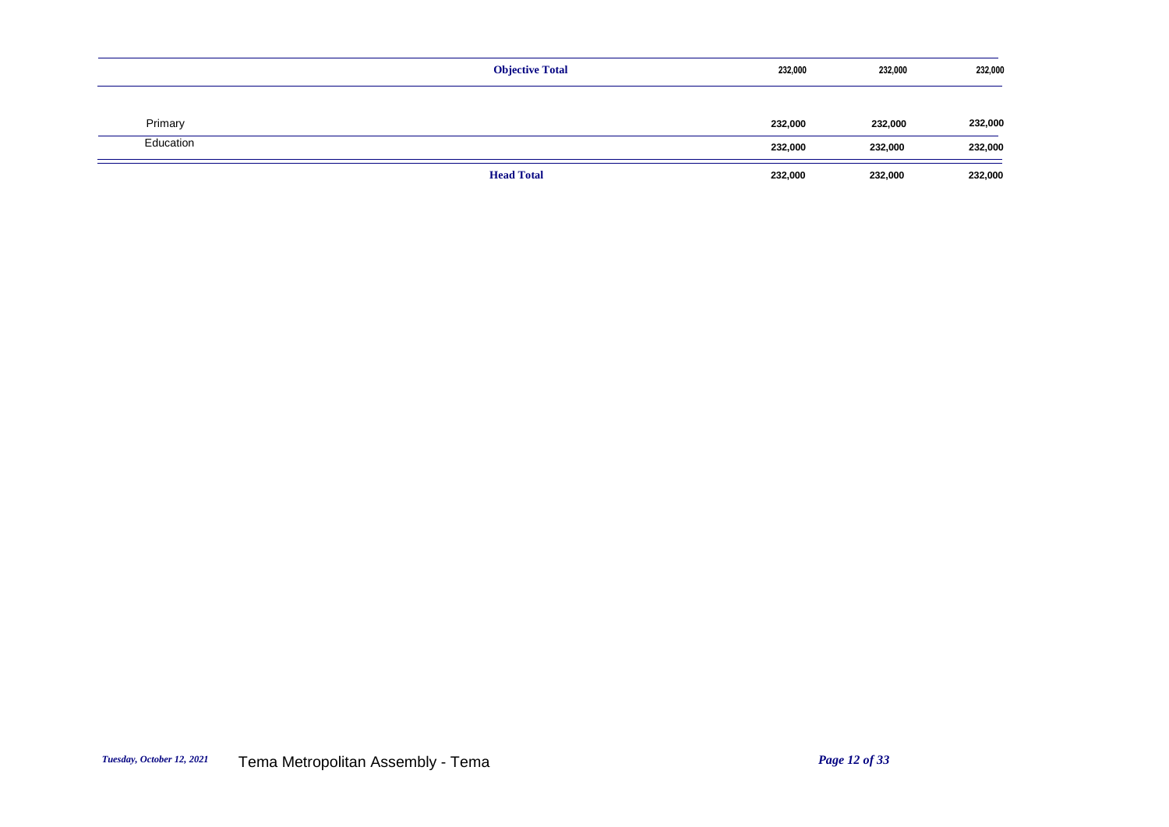|           | <b>Objective Total</b> | 232,000 | 232,000 | 232,000 |
|-----------|------------------------|---------|---------|---------|
|           |                        |         |         |         |
| Primary   |                        | 232,000 | 232,000 | 232,000 |
| Education |                        | 232,000 | 232,000 | 232,000 |
|           | <b>Head Total</b>      | 232,000 | 232,000 | 232,000 |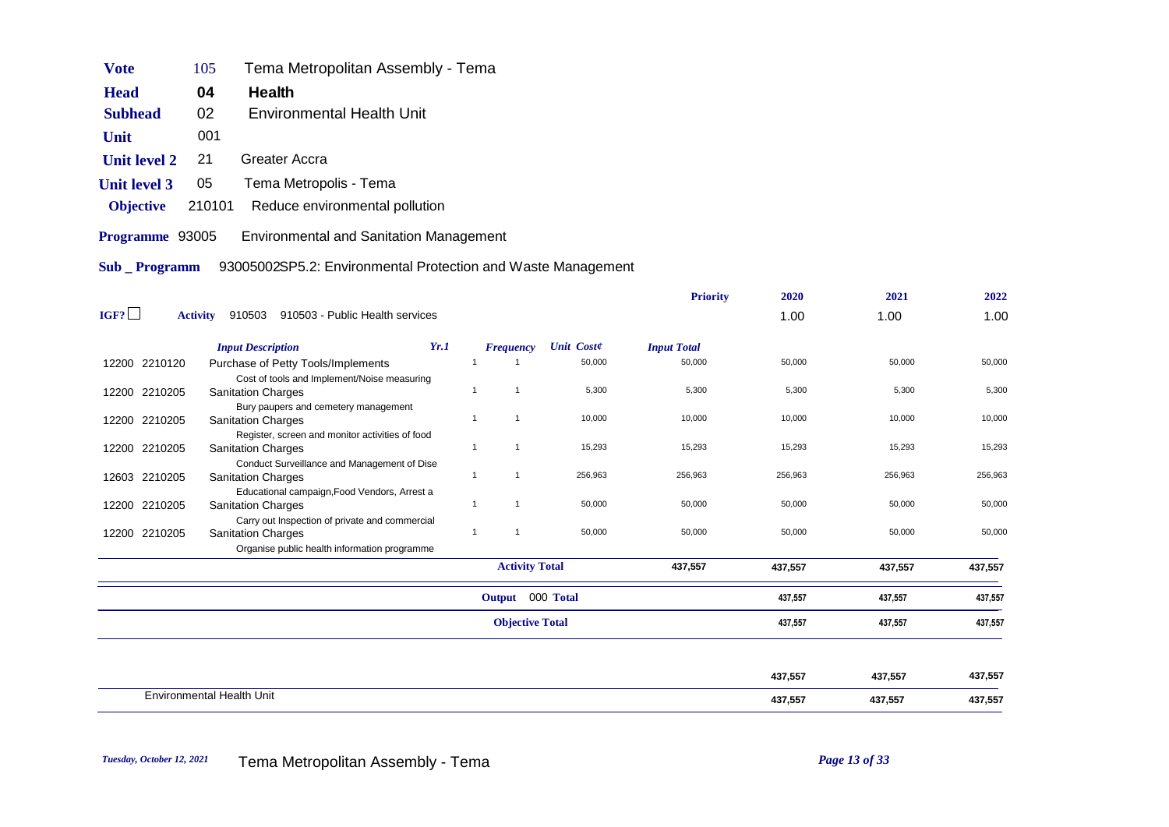| Vote                | 105    | Tema Metropolitan Assembly - Tema              |
|---------------------|--------|------------------------------------------------|
| <b>Head</b>         | 04     | Health                                         |
| <b>Subhead</b>      | 02     | <b>Environmental Health Unit</b>               |
| Unit                | 001    |                                                |
| <b>Unit level 2</b> | 21     | Greater Accra                                  |
| Unit level 3        | 05     | Tema Metropolis - Tema                         |
| <b>Objective</b>    | 210101 | Reduce environmental pollution                 |
| Programme 93005     |        | <b>Environmental and Sanitation Management</b> |

**Sub \_ Programm** 93005002SP5.2: Environmental Protection and Waste Management

|      |                 |                                                                           |      |                                |                        | <b>Priority</b>    | 2020    | 2021    | 2022    |
|------|-----------------|---------------------------------------------------------------------------|------|--------------------------------|------------------------|--------------------|---------|---------|---------|
| IGF? | <b>Activity</b> | 910503 - Public Health services<br>910503                                 |      |                                |                        |                    | 1.00    | 1.00    | 1.00    |
|      |                 | <b>Input Description</b>                                                  | Yr.1 | <b>Frequency</b>               | <b>Unit Coste</b>      | <b>Input Total</b> |         |         |         |
|      | 12200 2210120   | Purchase of Petty Tools/Implements                                        |      | -1                             | 50,000                 | 50,000             | 50,000  | 50,000  | 50,000  |
|      |                 | Cost of tools and Implement/Noise measuring                               |      |                                |                        |                    |         |         |         |
|      | 12200 2210205   | <b>Sanitation Charges</b>                                                 |      | $\mathbf{1}$<br>$\mathbf{1}$   | 5,300                  | 5,300              | 5,300   | 5,300   | 5,300   |
|      |                 | Bury paupers and cemetery management                                      |      |                                |                        |                    |         |         |         |
|      | 12200 2210205   | <b>Sanitation Charges</b>                                                 |      | $\mathbf{1}$<br>$\overline{1}$ | 10,000                 | 10,000             | 10,000  | 10,000  | 10,000  |
|      |                 | Register, screen and monitor activities of food                           |      |                                |                        |                    |         |         |         |
|      | 12200 2210205   | <b>Sanitation Charges</b>                                                 |      | $\mathbf{1}$<br>$\overline{1}$ | 15,293                 | 15,293             | 15,293  | 15,293  | 15,293  |
|      |                 | Conduct Surveillance and Management of Dise                               |      | $\mathbf{1}$<br>$\overline{1}$ | 256,963                | 256,963            | 256,963 | 256,963 | 256,963 |
|      | 12603 2210205   | <b>Sanitation Charges</b>                                                 |      |                                |                        |                    |         |         |         |
|      | 12200 2210205   | Educational campaign, Food Vendors, Arrest a<br><b>Sanitation Charges</b> |      | $\mathbf{1}$<br>$\mathbf{1}$   | 50,000                 | 50,000             | 50,000  | 50,000  | 50,000  |
|      |                 | Carry out Inspection of private and commercial                            |      |                                |                        |                    |         |         |         |
|      | 12200 2210205   | <b>Sanitation Charges</b>                                                 |      | $\mathbf{1}$<br>$\mathbf{1}$   | 50,000                 | 50,000             | 50,000  | 50,000  | 50,000  |
|      |                 | Organise public health information programme                              |      |                                |                        |                    |         |         |         |
|      |                 |                                                                           |      |                                |                        |                    |         |         |         |
|      |                 |                                                                           |      |                                | <b>Activity Total</b>  | 437,557            | 437,557 | 437,557 | 437,557 |
|      |                 |                                                                           |      |                                | Output 000 Total       |                    | 437,557 | 437,557 | 437,557 |
|      |                 |                                                                           |      |                                | <b>Objective Total</b> |                    | 437,557 | 437,557 | 437,557 |
|      |                 |                                                                           |      |                                |                        |                    |         |         |         |
|      |                 |                                                                           |      |                                |                        |                    | 437,557 | 437,557 | 437,557 |
|      |                 | <b>Environmental Health Unit</b>                                          |      |                                |                        |                    | 437,557 | 437,557 | 437,557 |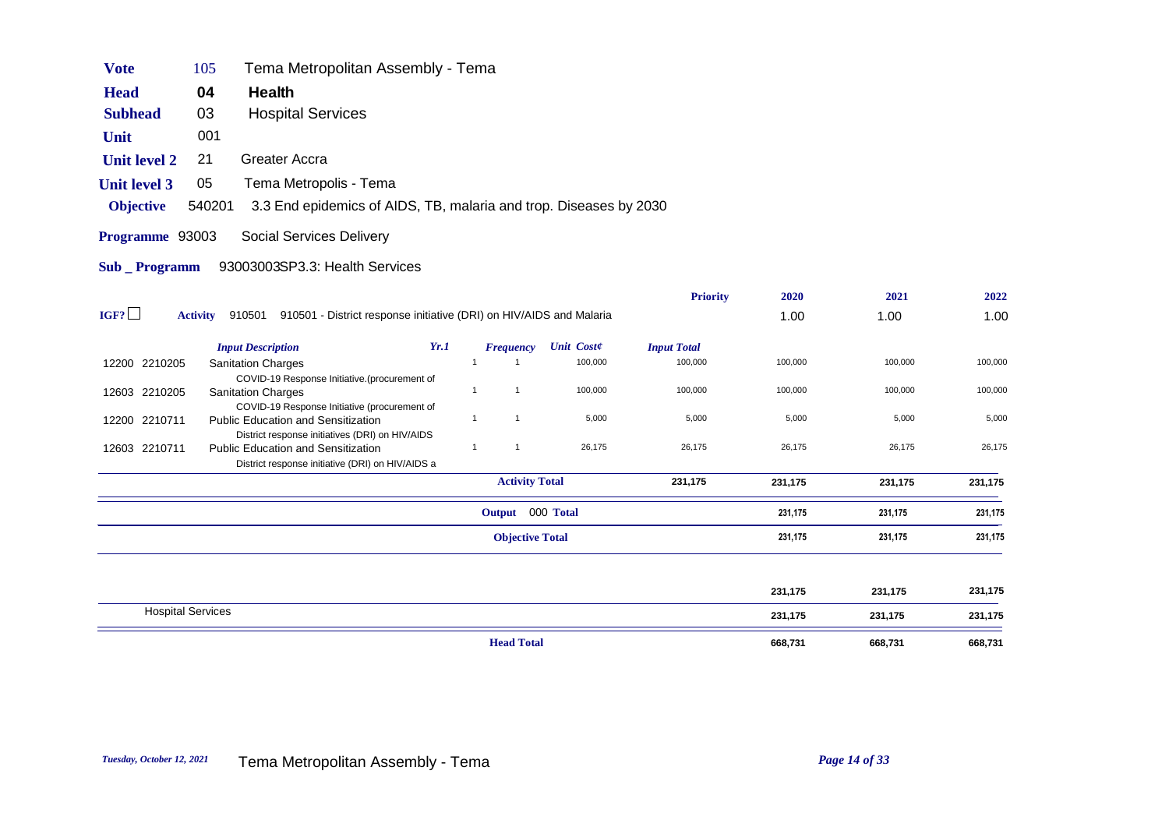| <b>Vote</b>         | 105             | Tema Metropolitan Assembly - Tema                                                                                                                |              |                        |                   |                    |         |         |         |
|---------------------|-----------------|--------------------------------------------------------------------------------------------------------------------------------------------------|--------------|------------------------|-------------------|--------------------|---------|---------|---------|
| <b>Head</b>         | 04              | Health                                                                                                                                           |              |                        |                   |                    |         |         |         |
| <b>Subhead</b>      | 03              | <b>Hospital Services</b>                                                                                                                         |              |                        |                   |                    |         |         |         |
| Unit                | 001             |                                                                                                                                                  |              |                        |                   |                    |         |         |         |
| <b>Unit level 2</b> | 21              | Greater Accra                                                                                                                                    |              |                        |                   |                    |         |         |         |
| <b>Unit level 3</b> | 05              | Tema Metropolis - Tema                                                                                                                           |              |                        |                   |                    |         |         |         |
| <b>Objective</b>    | 540201          | 3.3 End epidemics of AIDS, TB, malaria and trop. Diseases by 2030                                                                                |              |                        |                   |                    |         |         |         |
| Programme 93003     |                 | Social Services Delivery                                                                                                                         |              |                        |                   |                    |         |         |         |
| <b>Sub</b> Programm |                 | 93003003SP3.3: Health Services                                                                                                                   |              |                        |                   |                    |         |         |         |
|                     |                 |                                                                                                                                                  |              |                        |                   | <b>Priority</b>    | 2020    | 2021    | 2022    |
| IGF?                | <b>Activity</b> | 910501 910501 - District response initiative (DRI) on HIV/AIDS and Malaria                                                                       |              |                        |                   |                    | 1.00    | 1.00    | 1.00    |
|                     |                 | <b>Input Description</b><br>Yr.1                                                                                                                 |              | <b>Frequency</b>       | <b>Unit Coste</b> | <b>Input Total</b> |         |         |         |
| 12200 2210205       |                 | <b>Sanitation Charges</b>                                                                                                                        | $\mathbf{1}$ | $\mathbf{1}$           | 100,000           | 100,000            | 100,000 | 100,000 | 100,000 |
| 12603 2210205       |                 | COVID-19 Response Initiative.(procurement of<br><b>Sanitation Charges</b><br>COVID-19 Response Initiative (procurement of                        | $\mathbf{1}$ | $\mathbf{1}$           | 100,000           | 100,000            | 100,000 | 100,000 | 100,000 |
| 12200 2210711       |                 | <b>Public Education and Sensitization</b>                                                                                                        | $\mathbf{1}$ | $\mathbf{1}$           | 5,000             | 5,000              | 5,000   | 5,000   | 5,000   |
| 12603 2210711       |                 | District response initiatives (DRI) on HIV/AIDS<br><b>Public Education and Sensitization</b><br>District response initiative (DRI) on HIV/AIDS a | $\mathbf{1}$ | $\mathbf{1}$           | 26,175            | 26,175             | 26,175  | 26,175  | 26,175  |
|                     |                 |                                                                                                                                                  |              | <b>Activity Total</b>  |                   | 231,175            | 231,175 | 231,175 | 231,175 |
|                     |                 |                                                                                                                                                  |              | Output 000 Total       |                   |                    | 231,175 | 231,175 | 231,175 |
|                     |                 |                                                                                                                                                  |              | <b>Objective Total</b> |                   |                    | 231,175 | 231,175 | 231,175 |
|                     |                 |                                                                                                                                                  |              |                        |                   |                    |         |         |         |
|                     |                 |                                                                                                                                                  |              |                        |                   |                    | 231,175 | 231,175 | 231,175 |

Hospital Services 231,175 231,175 231,175

*Tuesday, October 12, 2021* Tema Metropolitan Assembly - Tema *Page 14 of 33*

**Head Total** 668,731 668,731 668,731 668,731 668,731 668,731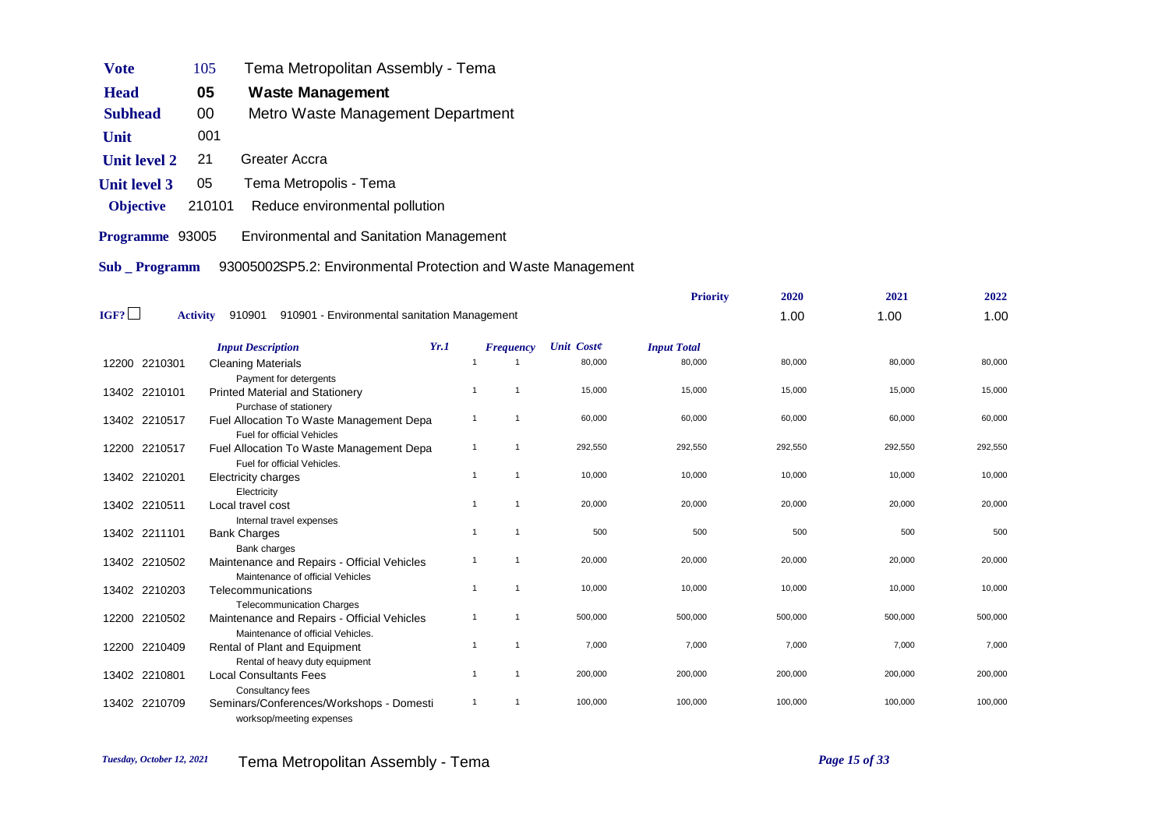| Vote                | 105    | Tema Metropolitan Assembly - Tema              |
|---------------------|--------|------------------------------------------------|
| <b>Head</b>         | 05     | <b>Waste Management</b>                        |
| <b>Subhead</b>      | 00     | Metro Waste Management Department              |
| Unit                | 001    |                                                |
| <b>Unit level 2</b> | 21     | Greater Accra                                  |
| <b>Unit level 3</b> | 05     | Tema Metropolis - Tema                         |
| <b>Objective</b>    | 210101 | Reduce environmental pollution                 |
| Programme 93005     |        | <b>Environmental and Sanitation Management</b> |

**Sub \_ Programm** 93005002SP5.2: Environmental Protection and Waste Management

|      |                 |                                                                                                  |                |                  |                   | <b>Priority</b>    | 2020    | 2021    | 2022    |
|------|-----------------|--------------------------------------------------------------------------------------------------|----------------|------------------|-------------------|--------------------|---------|---------|---------|
| IGF? | <b>Activity</b> | 910901<br>910901 - Environmental sanitation Management                                           |                |                  |                   |                    | 1.00    | 1.00    | 1.00    |
|      |                 | <b>Input Description</b>                                                                         | Yr.1           | <b>Frequency</b> | <b>Unit Coste</b> | <b>Input Total</b> |         |         |         |
|      | 12200 2210301   | <b>Cleaning Materials</b><br>Payment for detergents                                              |                |                  | 80,000            | 80,000             | 80,000  | 80,000  | 80,000  |
|      | 13402 2210101   | <b>Printed Material and Stationery</b>                                                           | $\overline{1}$ | $\overline{1}$   | 15,000            | 15,000             | 15,000  | 15,000  | 15,000  |
|      | 13402 2210517   | Purchase of stationery<br>Fuel Allocation To Waste Management Depa<br>Fuel for official Vehicles | -1             | -1               | 60,000            | 60,000             | 60,000  | 60,000  | 60,000  |
|      | 12200 2210517   | Fuel Allocation To Waste Management Depa<br>Fuel for official Vehicles.                          | $\overline{1}$ | $\overline{1}$   | 292,550           | 292,550            | 292,550 | 292,550 | 292,550 |
|      | 13402 2210201   | Electricity charges<br>Electricity                                                               | $\overline{1}$ | $\overline{1}$   | 10,000            | 10,000             | 10,000  | 10,000  | 10,000  |
|      | 13402 2210511   | Local travel cost<br>Internal travel expenses                                                    | $\overline{1}$ | $\overline{1}$   | 20,000            | 20,000             | 20,000  | 20,000  | 20,000  |
|      | 13402 2211101   | <b>Bank Charges</b><br>Bank charges                                                              | $\overline{1}$ | $\overline{1}$   | 500               | 500                | 500     | 500     | 500     |
|      | 13402 2210502   | Maintenance and Repairs - Official Vehicles<br>Maintenance of official Vehicles                  | $\overline{1}$ | $\overline{1}$   | 20,000            | 20,000             | 20,000  | 20,000  | 20,000  |
|      | 13402 2210203   | Telecommunications<br><b>Telecommunication Charges</b>                                           | $\overline{1}$ | $\overline{1}$   | 10,000            | 10,000             | 10,000  | 10,000  | 10,000  |
|      | 12200 2210502   | Maintenance and Repairs - Official Vehicles<br>Maintenance of official Vehicles.                 | -1             | -1               | 500,000           | 500,000            | 500,000 | 500,000 | 500,000 |
|      | 12200 2210409   | Rental of Plant and Equipment                                                                    | $\overline{1}$ | $\overline{1}$   | 7,000             | 7,000              | 7,000   | 7,000   | 7,000   |
|      | 13402 2210801   | Rental of heavy duty equipment<br><b>Local Consultants Fees</b>                                  | -1             | $\overline{1}$   | 200,000           | 200,000            | 200,000 | 200,000 | 200,000 |
|      | 13402 2210709   | Consultancy fees<br>Seminars/Conferences/Workshops - Domesti<br>worksop/meeting expenses         | $\overline{1}$ | $\overline{1}$   | 100,000           | 100,000            | 100,000 | 100,000 | 100,000 |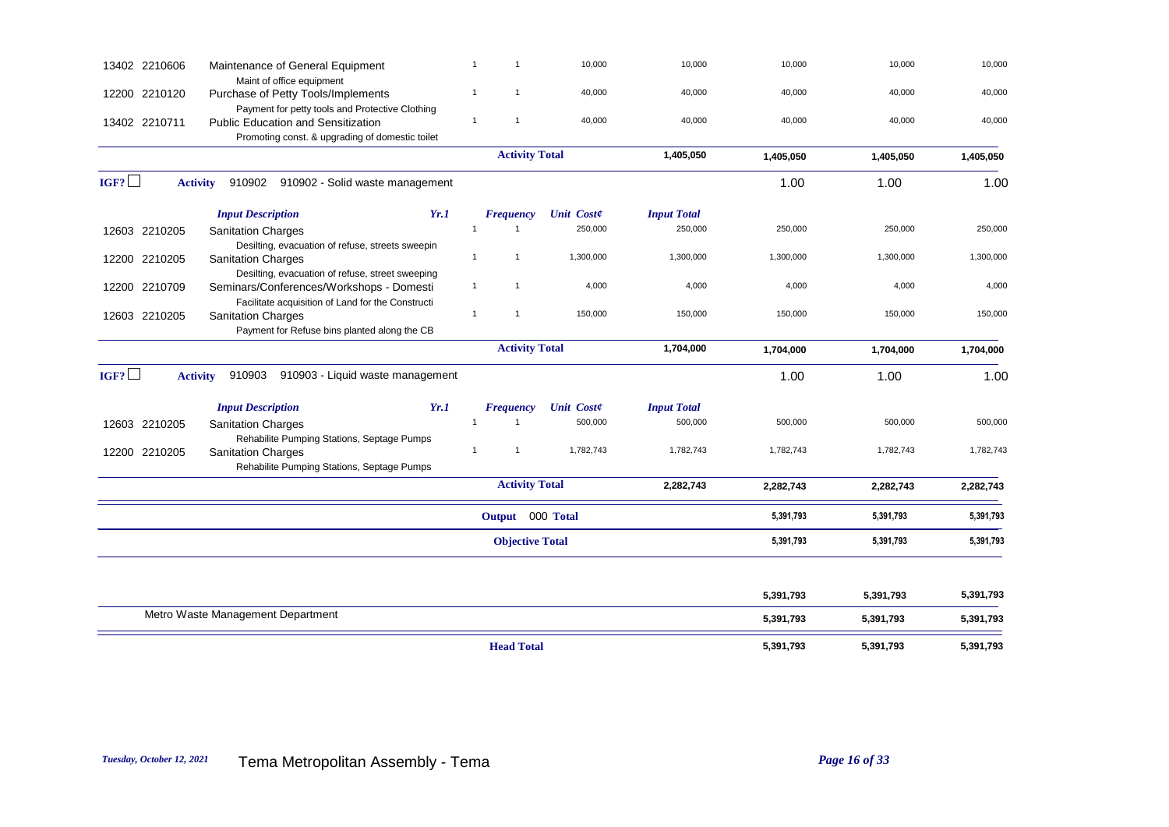| 13402 2210606 | Maintenance of General Equipment                                                                                                                | $\mathbf{1}$<br>$\mathbf{1}$     | 10,000            | 10,000             | 10,000    | 10,000    | 10,000    |
|---------------|-------------------------------------------------------------------------------------------------------------------------------------------------|----------------------------------|-------------------|--------------------|-----------|-----------|-----------|
| 12200 2210120 | Maint of office equipment<br>Purchase of Petty Tools/Implements                                                                                 | $\mathbf{1}$<br>$\mathbf 1$      | 40,000            | 40,000             | 40,000    | 40,000    | 40,000    |
| 13402 2210711 | Payment for petty tools and Protective Clothing<br><b>Public Education and Sensitization</b><br>Promoting const. & upgrading of domestic toilet | $\mathbf{1}$<br>$\overline{1}$   | 40,000            | 40,000             | 40,000    | 40,000    | 40,000    |
|               |                                                                                                                                                 | <b>Activity Total</b>            |                   | 1,405,050          | 1,405,050 | 1,405,050 | 1,405,050 |
| IGF?          | Activity 910902 910902 - Solid waste management                                                                                                 |                                  |                   |                    | 1.00      | 1.00      | 1.00      |
|               | Yr.1<br><b>Input Description</b>                                                                                                                | <b>Frequency</b>                 | <b>Unit Coste</b> | <b>Input Total</b> |           |           |           |
| 12603 2210205 | <b>Sanitation Charges</b><br>Desilting, evacuation of refuse, streets sweepin                                                                   | $\mathbf{1}$<br>$\mathbf{1}$     | 250,000           | 250,000            | 250,000   | 250,000   | 250,000   |
| 12200 2210205 | <b>Sanitation Charges</b><br>Desilting, evacuation of refuse, street sweeping                                                                   | $\mathbf{1}$<br>$\overline{1}$   | 1,300,000         | 1,300,000          | 1,300,000 | 1,300,000 | 1,300,000 |
| 12200 2210709 | Seminars/Conferences/Workshops - Domesti<br>Facilitate acquisition of Land for the Constructi                                                   | $\mathbf{1}$<br>$\mathbf{1}$     | 4,000             | 4,000              | 4,000     | 4,000     | 4,000     |
| 12603 2210205 | <b>Sanitation Charges</b><br>Payment for Refuse bins planted along the CB                                                                       | $\mathbf{1}$<br>$\overline{1}$   | 150,000           | 150,000            | 150,000   | 150,000   | 150,000   |
|               |                                                                                                                                                 | <b>Activity Total</b>            |                   | 1,704,000          | 1,704,000 | 1,704,000 | 1,704,000 |
| IGF?          | <b>Activity</b><br>910903<br>910903 - Liquid waste management                                                                                   |                                  |                   |                    | 1.00      | 1.00      | 1.00      |
|               | Yr.1<br><b>Input Description</b>                                                                                                                | <b>Frequency</b>                 | <b>Unit Coste</b> | <b>Input Total</b> |           |           |           |
| 12603 2210205 | <b>Sanitation Charges</b><br>Rehabilite Pumping Stations, Septage Pumps                                                                         | $\overline{1}$<br>$\overline{1}$ | 500,000           | 500,000            | 500,000   | 500,000   | 500,000   |
| 12200 2210205 | <b>Sanitation Charges</b><br>Rehabilite Pumping Stations, Septage Pumps                                                                         | $\mathbf{1}$<br>$\overline{1}$   | 1,782,743         | 1,782,743          | 1,782,743 | 1,782,743 | 1,782,743 |
|               |                                                                                                                                                 | <b>Activity Total</b>            |                   | 2,282,743          | 2,282,743 | 2,282,743 | 2,282,743 |
|               |                                                                                                                                                 | Output 000 Total                 |                   |                    | 5,391,793 | 5,391,793 | 5,391,793 |
|               |                                                                                                                                                 | <b>Objective Total</b>           |                   |                    | 5,391,793 | 5,391,793 | 5,391,793 |
|               |                                                                                                                                                 |                                  |                   |                    | 5,391,793 | 5,391,793 | 5,391,793 |
|               | Metro Waste Management Department                                                                                                               |                                  |                   |                    | 5,391,793 | 5,391,793 | 5,391,793 |
|               |                                                                                                                                                 | <b>Head Total</b>                |                   |                    | 5,391,793 | 5,391,793 | 5,391,793 |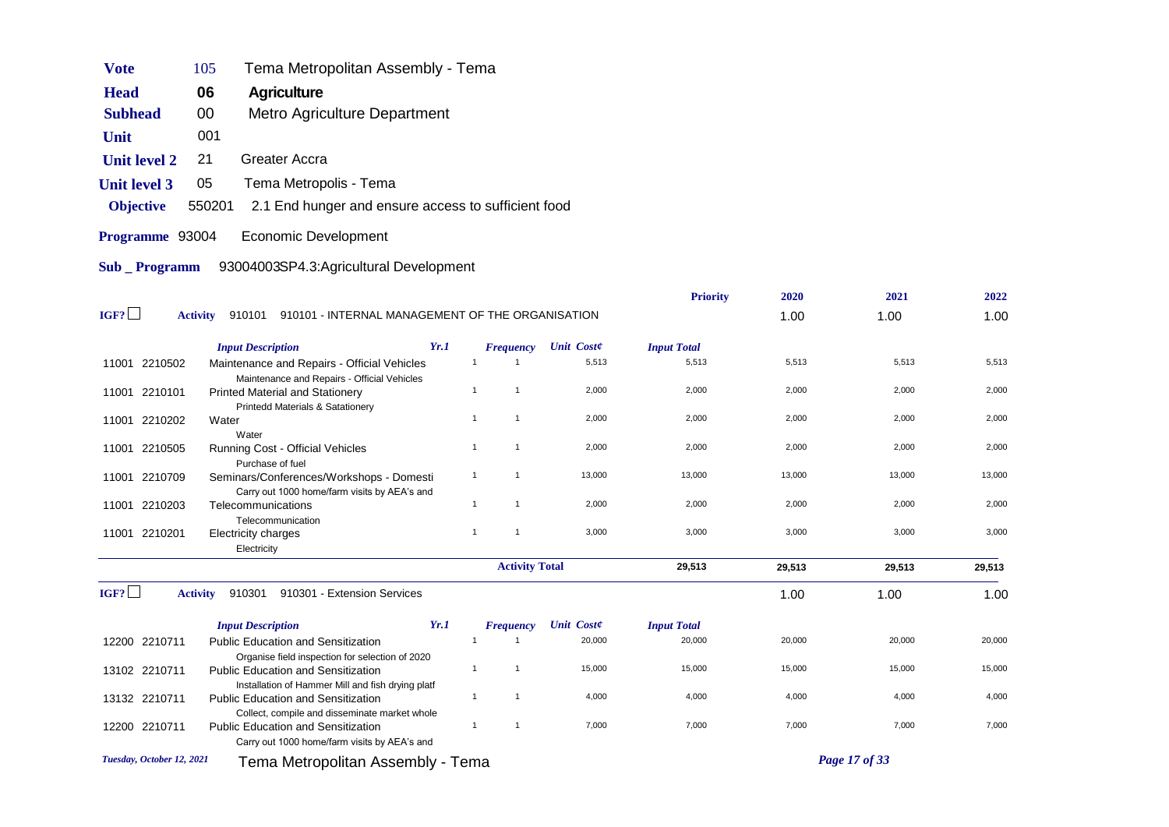| <b>Vote</b>         | 105             | Tema Metropolitan Assembly - Tema                                                              |      |                |                       |                   |                    |        |        |        |
|---------------------|-----------------|------------------------------------------------------------------------------------------------|------|----------------|-----------------------|-------------------|--------------------|--------|--------|--------|
| <b>Head</b>         | 06              | Agriculture                                                                                    |      |                |                       |                   |                    |        |        |        |
| <b>Subhead</b>      | 00              | Metro Agriculture Department                                                                   |      |                |                       |                   |                    |        |        |        |
| Unit                | 001             |                                                                                                |      |                |                       |                   |                    |        |        |        |
| <b>Unit level 2</b> | 21              | Greater Accra                                                                                  |      |                |                       |                   |                    |        |        |        |
| <b>Unit level 3</b> | 05              | Tema Metropolis - Tema                                                                         |      |                |                       |                   |                    |        |        |        |
| <b>Objective</b>    | 550201          | 2.1 End hunger and ensure access to sufficient food                                            |      |                |                       |                   |                    |        |        |        |
| Programme 93004     |                 | <b>Economic Development</b>                                                                    |      |                |                       |                   |                    |        |        |        |
| <b>Sub</b> Programm |                 | 93004003SP4.3:Agricultural Development                                                         |      |                |                       |                   |                    |        |        |        |
|                     |                 |                                                                                                |      |                |                       |                   | <b>Priority</b>    | 2020   | 2021   | 2022   |
| IGF?                | <b>Activity</b> | 910101 910101 - INTERNAL MANAGEMENT OF THE ORGANISATION                                        |      |                |                       |                   |                    | 1.00   | 1.00   | 1.00   |
|                     |                 |                                                                                                |      |                |                       |                   |                    |        |        |        |
|                     |                 | <b>Input Description</b>                                                                       | Yr.1 |                | <b>Frequency</b>      | <b>Unit Coste</b> | <b>Input Total</b> |        |        |        |
| 11001 2210502       |                 | Maintenance and Repairs - Official Vehicles                                                    |      | $\mathbf{1}$   | $\overline{1}$        | 5,513             | 5,513              | 5,513  | 5,513  | 5,513  |
| 11001 2210101       |                 | Maintenance and Repairs - Official Vehicles<br><b>Printed Material and Stationery</b>          |      | $\mathbf{1}$   | $\mathbf{1}$          | 2,000             | 2,000              | 2,000  | 2,000  | 2,000  |
| 11001 2210202       | Water           | Printedd Materials & Satationery                                                               |      | $\mathbf{1}$   | $\mathbf{1}$          | 2,000             | 2,000              | 2,000  | 2,000  | 2,000  |
|                     |                 | Water                                                                                          |      |                |                       |                   |                    |        |        |        |
| 11001 2210505       |                 | Running Cost - Official Vehicles<br>Purchase of fuel                                           |      | $\mathbf{1}$   | $\mathbf{1}$          | 2,000             | 2,000              | 2,000  | 2,000  | 2,000  |
| 11001 2210709       |                 | Seminars/Conferences/Workshops - Domesti                                                       |      | $\mathbf{1}$   | $\mathbf{1}$          | 13,000            | 13,000             | 13,000 | 13,000 | 13,000 |
|                     |                 | Carry out 1000 home/farm visits by AEA's and                                                   |      |                |                       |                   |                    |        |        |        |
| 11001 2210203       |                 | Telecommunications                                                                             |      | $\mathbf{1}$   | $\mathbf{1}$          | 2,000             | 2,000              | 2,000  | 2,000  | 2,000  |
| 11001 2210201       |                 | Telecommunication<br>Electricity charges                                                       |      | $\mathbf{1}$   | $\mathbf{1}$          | 3,000             | 3,000              | 3,000  | 3,000  | 3,000  |
|                     |                 | Electricity                                                                                    |      |                |                       |                   |                    |        |        |        |
|                     |                 |                                                                                                |      |                | <b>Activity Total</b> |                   | 29,513             | 29,513 | 29,513 | 29,513 |
| IGF?                | <b>Activity</b> | 910301 910301 - Extension Services                                                             |      |                |                       |                   |                    | 1.00   | 1.00   | 1.00   |
|                     |                 | <b>Input Description</b>                                                                       | Yr.1 |                | <b>Frequency</b>      | <b>Unit Coste</b> | <b>Input Total</b> |        |        |        |
| 12200 2210711       |                 | Public Education and Sensitization                                                             |      | $\overline{1}$ | $\overline{1}$        | 20,000            | 20,000             | 20,000 | 20,000 | 20,000 |
|                     |                 | Organise field inspection for selection of 2020                                                |      |                |                       |                   |                    |        |        |        |
| 13102 2210711       |                 | <b>Public Education and Sensitization</b>                                                      |      | $\mathbf{1}$   | $\mathbf{1}$          | 15,000            | 15,000             | 15,000 | 15,000 | 15,000 |
| 13132 2210711       |                 | Installation of Hammer Mill and fish drying platf<br><b>Public Education and Sensitization</b> |      | $\mathbf{1}$   | $\mathbf 1$           | 4,000             | 4,000              | 4,000  | 4,000  | 4,000  |
|                     |                 | Collect, compile and disseminate market whole                                                  |      |                |                       |                   |                    |        |        |        |

2210 Public Education and Sensitization 1 1 1 7,000 7,000 7,000 7,000 7,000 7,000 7,000 7,000 7,000 7,000 7,000

*Tuesday, October 12, 2021* Tema Metropolitan Assembly - Tema *Page 17 of 33*

12200 2210711

Carry out 1000 home/farm visits by AEA's and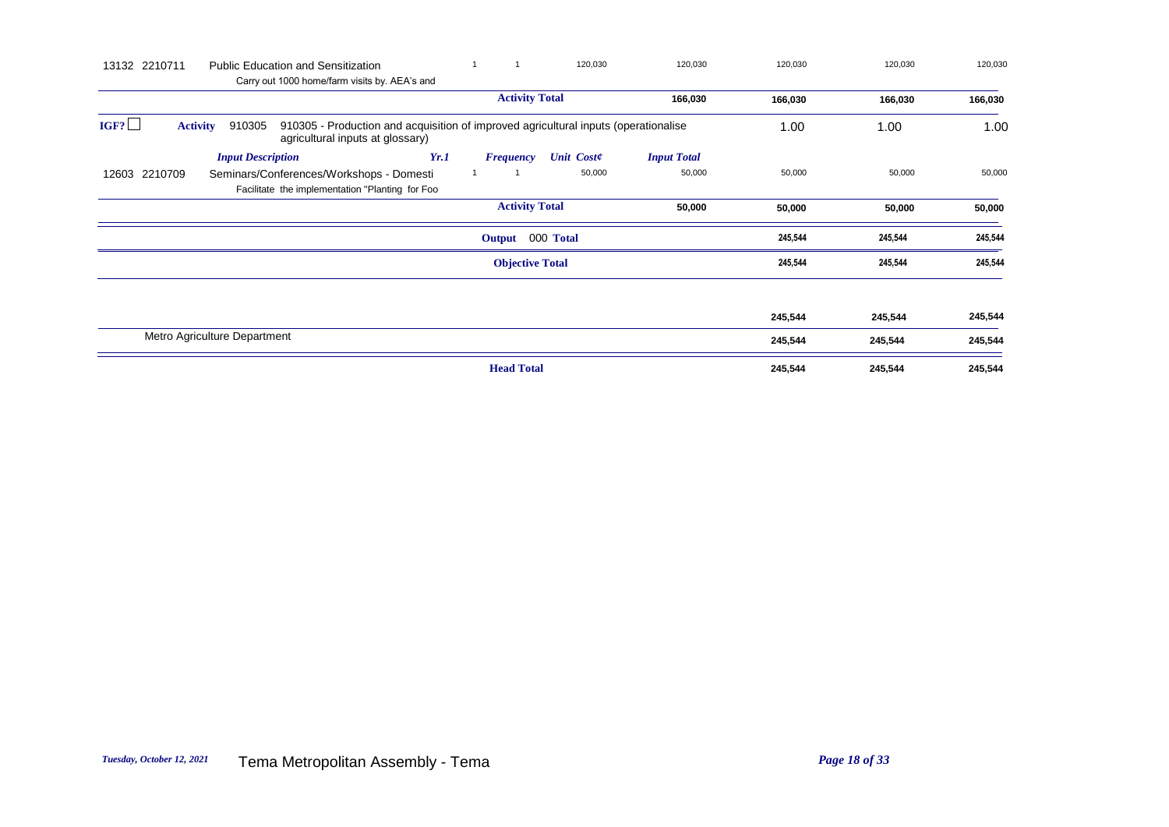| 13132 2210711<br><b>Public Education and Sensitization</b><br>Carry out 1000 home/farm visits by. AEA's and                                                  | 1                      | 120,030           | 120,030            | 120,030 | 120,030 | 120,030 |
|--------------------------------------------------------------------------------------------------------------------------------------------------------------|------------------------|-------------------|--------------------|---------|---------|---------|
|                                                                                                                                                              | <b>Activity Total</b>  |                   | 166,030            | 166,030 | 166,030 | 166,030 |
| IGF?<br>910305 - Production and acquisition of improved agricultural inputs (operationalise<br><b>Activity</b><br>910305<br>agricultural inputs at glossary) |                        |                   |                    | 1.00    | 1.00    | 1.00    |
| Yr.1<br><b>Input Description</b>                                                                                                                             | <b>Frequency</b>       | <b>Unit Coste</b> | <b>Input Total</b> |         |         |         |
| 12603 2210709<br>Seminars/Conferences/Workshops - Domesti<br>Facilitate the implementation "Planting for Foo                                                 |                        | 50,000            | 50,000             | 50,000  | 50,000  | 50,000  |
|                                                                                                                                                              | <b>Activity Total</b>  |                   | 50,000             | 50,000  | 50,000  | 50,000  |
|                                                                                                                                                              | Output 000 Total       |                   |                    | 245,544 | 245,544 | 245,544 |
|                                                                                                                                                              | <b>Objective Total</b> |                   |                    | 245,544 | 245,544 | 245,544 |
|                                                                                                                                                              |                        |                   |                    |         |         |         |
|                                                                                                                                                              |                        |                   |                    | 245,544 | 245,544 | 245,544 |
| Metro Agriculture Department                                                                                                                                 |                        |                   |                    | 245,544 | 245,544 | 245,544 |
|                                                                                                                                                              | <b>Head Total</b>      |                   |                    | 245,544 | 245,544 | 245,544 |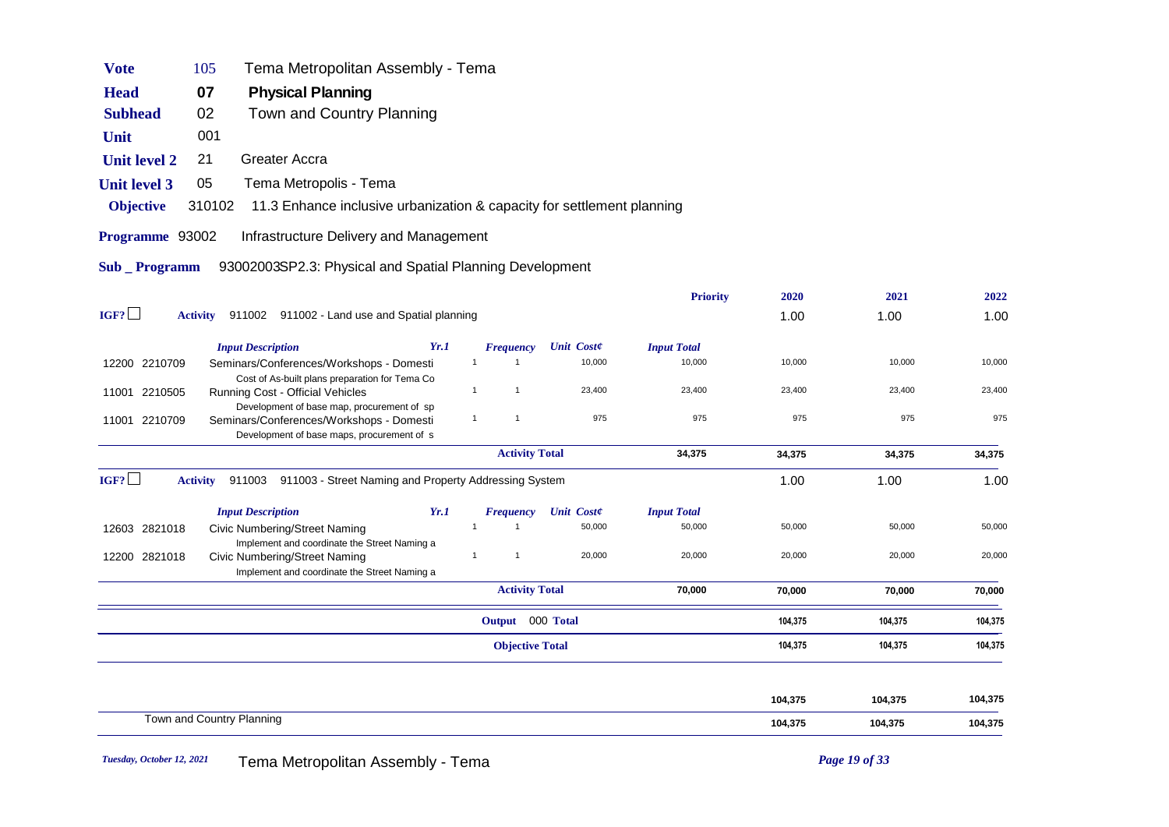| <b>Vote</b>           | 105             | Tema Metropolitan Assembly - Tema                                                                                                    |                |                        |                   |                    |         |         |         |
|-----------------------|-----------------|--------------------------------------------------------------------------------------------------------------------------------------|----------------|------------------------|-------------------|--------------------|---------|---------|---------|
| <b>Head</b>           | 07              | <b>Physical Planning</b>                                                                                                             |                |                        |                   |                    |         |         |         |
| <b>Subhead</b>        | 02              | Town and Country Planning                                                                                                            |                |                        |                   |                    |         |         |         |
| Unit                  | 001             |                                                                                                                                      |                |                        |                   |                    |         |         |         |
| <b>Unit level 2</b>   | 21              | <b>Greater Accra</b>                                                                                                                 |                |                        |                   |                    |         |         |         |
| <b>Unit level 3</b>   | 05              | Tema Metropolis - Tema                                                                                                               |                |                        |                   |                    |         |         |         |
| <b>Objective</b>      | 310102          | 11.3 Enhance inclusive urbanization & capacity for settlement planning                                                               |                |                        |                   |                    |         |         |         |
| Programme 93002       |                 | Infrastructure Delivery and Management                                                                                               |                |                        |                   |                    |         |         |         |
| <b>Sub</b> _ Programm |                 | 93002003SP2.3: Physical and Spatial Planning Development                                                                             |                |                        |                   |                    |         |         |         |
|                       |                 |                                                                                                                                      |                |                        |                   | <b>Priority</b>    | 2020    | 2021    | 2022    |
| IGF?                  | <b>Activity</b> | 911002 911002 - Land use and Spatial planning                                                                                        |                |                        |                   |                    | 1.00    | 1.00    | 1.00    |
|                       |                 | <b>Input Description</b><br>Yr.1                                                                                                     |                | <b>Frequency</b>       | <b>Unit Coste</b> | <b>Input Total</b> |         |         |         |
| 12200 2210709         |                 | Seminars/Conferences/Workshops - Domesti                                                                                             | $\mathbf{1}$   | -1                     | 10,000            | 10,000             | 10,000  | 10,000  | 10,000  |
| 11001 2210505         |                 | Cost of As-built plans preparation for Tema Co<br>Running Cost - Official Vehicles                                                   | $\mathbf{1}$   | $\mathbf{1}$           | 23,400            | 23,400             | 23,400  | 23,400  | 23,400  |
| 11001 2210709         |                 | Development of base map, procurement of sp<br>Seminars/Conferences/Workshops - Domesti<br>Development of base maps, procurement of s | $\overline{1}$ | $\mathbf{1}$           | 975               | 975                | 975     | 975     | 975     |
|                       |                 |                                                                                                                                      |                | <b>Activity Total</b>  |                   | 34,375             | 34,375  | 34,375  | 34,375  |
| IGF?                  | <b>Activity</b> | 911003 911003 - Street Naming and Property Addressing System                                                                         |                |                        |                   |                    | 1.00    | 1.00    | 1.00    |
|                       |                 | <b>Input Description</b><br>Yr.1                                                                                                     |                | <b>Frequency</b>       | <b>Unit Coste</b> | <b>Input Total</b> |         |         |         |
| 12603 2821018         |                 | <b>Civic Numbering/Street Naming</b>                                                                                                 |                | $\mathbf{1}$           | 50,000            | 50,000             | 50,000  | 50,000  | 50,000  |
| 12200 2821018         |                 | Implement and coordinate the Street Naming a<br>Civic Numbering/Street Naming                                                        | $\mathbf{1}$   | $\mathbf{1}$           | 20,000            | 20,000             | 20,000  | 20,000  | 20,000  |
|                       |                 | Implement and coordinate the Street Naming a                                                                                         |                | <b>Activity Total</b>  |                   | 70,000             | 70,000  | 70,000  | 70,000  |
|                       |                 |                                                                                                                                      |                |                        |                   |                    |         |         |         |
|                       |                 |                                                                                                                                      |                | Output 000 Total       |                   |                    | 104,375 | 104,375 | 104,375 |
|                       |                 |                                                                                                                                      |                | <b>Objective Total</b> |                   |                    | 104,375 | 104,375 | 104,375 |
|                       |                 |                                                                                                                                      |                |                        |                   |                    |         |         |         |
|                       |                 |                                                                                                                                      |                |                        |                   |                    | 104,375 | 104,375 | 104,375 |
|                       |                 | Town and Country Planning                                                                                                            |                |                        |                   |                    | 104,375 | 104,375 | 104,375 |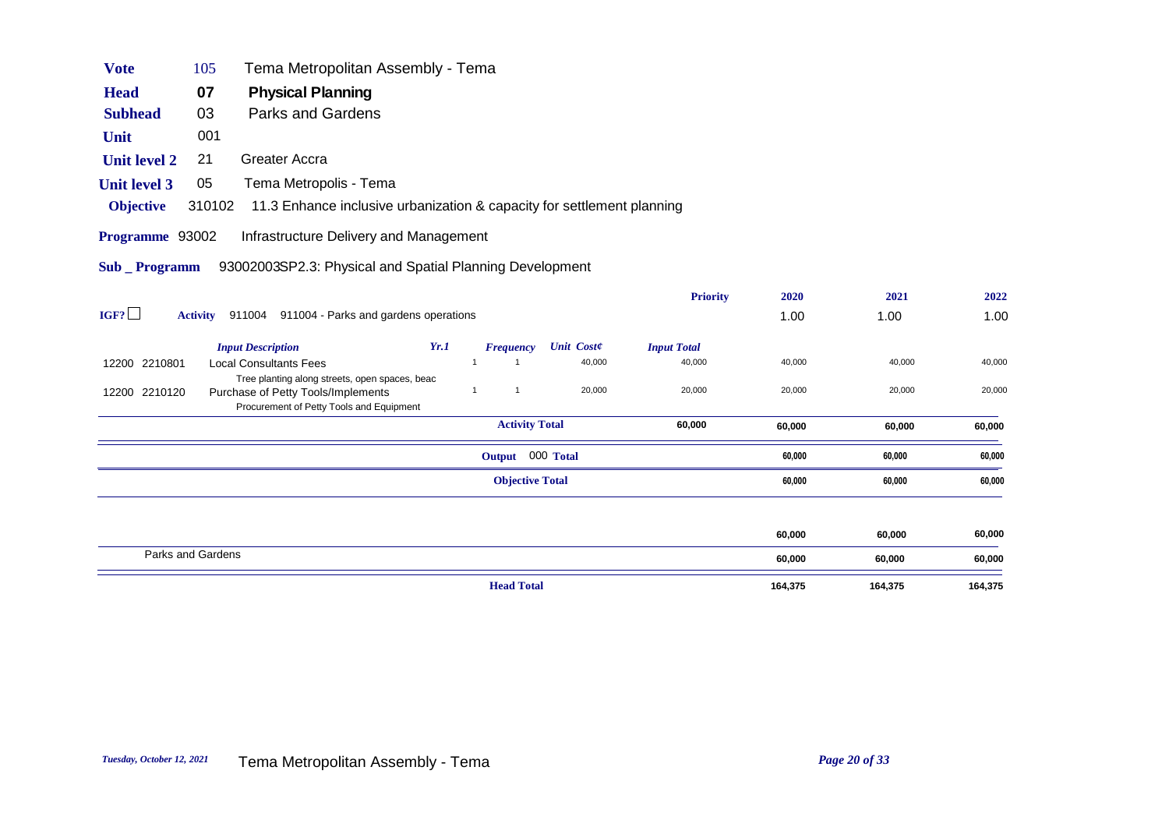| <b>Vote</b>         | 105               | Tema Metropolitan Assembly - Tema                                                                                                |              |                        |                   |                    |        |        |        |
|---------------------|-------------------|----------------------------------------------------------------------------------------------------------------------------------|--------------|------------------------|-------------------|--------------------|--------|--------|--------|
| <b>Head</b>         | 07                | <b>Physical Planning</b>                                                                                                         |              |                        |                   |                    |        |        |        |
| <b>Subhead</b>      | 03                | <b>Parks and Gardens</b>                                                                                                         |              |                        |                   |                    |        |        |        |
| Unit                | 001               |                                                                                                                                  |              |                        |                   |                    |        |        |        |
| <b>Unit level 2</b> | 21                | Greater Accra                                                                                                                    |              |                        |                   |                    |        |        |        |
| <b>Unit level 3</b> | 05                | Tema Metropolis - Tema                                                                                                           |              |                        |                   |                    |        |        |        |
| <b>Objective</b>    | 310102            | 11.3 Enhance inclusive urbanization & capacity for settlement planning                                                           |              |                        |                   |                    |        |        |        |
| Programme 93002     |                   | Infrastructure Delivery and Management                                                                                           |              |                        |                   |                    |        |        |        |
| <b>Sub</b> Programm |                   | 93002003SP2.3: Physical and Spatial Planning Development                                                                         |              |                        |                   |                    |        |        |        |
|                     |                   |                                                                                                                                  |              |                        |                   | <b>Priority</b>    | 2020   | 2021   | 2022   |
| IGF?                |                   | Activity 911004 911004 - Parks and gardens operations                                                                            |              |                        |                   |                    | 1.00   | 1.00   | 1.00   |
|                     |                   | <b>Input Description</b><br>Yr.1                                                                                                 |              | <b>Frequency</b>       | <b>Unit Coste</b> | <b>Input Total</b> |        |        |        |
| 12200 2210801       |                   | <b>Local Consultants Fees</b>                                                                                                    | $\mathbf{1}$ | $\mathbf 1$            | 40,000            | 40,000             | 40,000 | 40,000 | 40,000 |
| 12200 2210120       |                   | Tree planting along streets, open spaces, beac<br>Purchase of Petty Tools/Implements<br>Procurement of Petty Tools and Equipment | $\mathbf{1}$ | $\mathbf{1}$           | 20,000            | 20,000             | 20,000 | 20,000 | 20,000 |
|                     |                   |                                                                                                                                  |              | <b>Activity Total</b>  |                   | 60,000             | 60,000 | 60,000 | 60,000 |
|                     |                   |                                                                                                                                  |              | Output 000 Total       |                   |                    | 60,000 | 60,000 | 60,000 |
|                     |                   |                                                                                                                                  |              | <b>Objective Total</b> |                   |                    | 60,000 | 60,000 | 60,000 |
|                     |                   |                                                                                                                                  |              |                        |                   |                    |        |        |        |
|                     |                   |                                                                                                                                  |              |                        |                   |                    | 60,000 | 60,000 | 60,000 |
|                     | Parks and Gardens |                                                                                                                                  |              |                        |                   |                    | 60,000 | 60,000 | 60,000 |

**Head Total** 164,375 164,375 164,375 164,375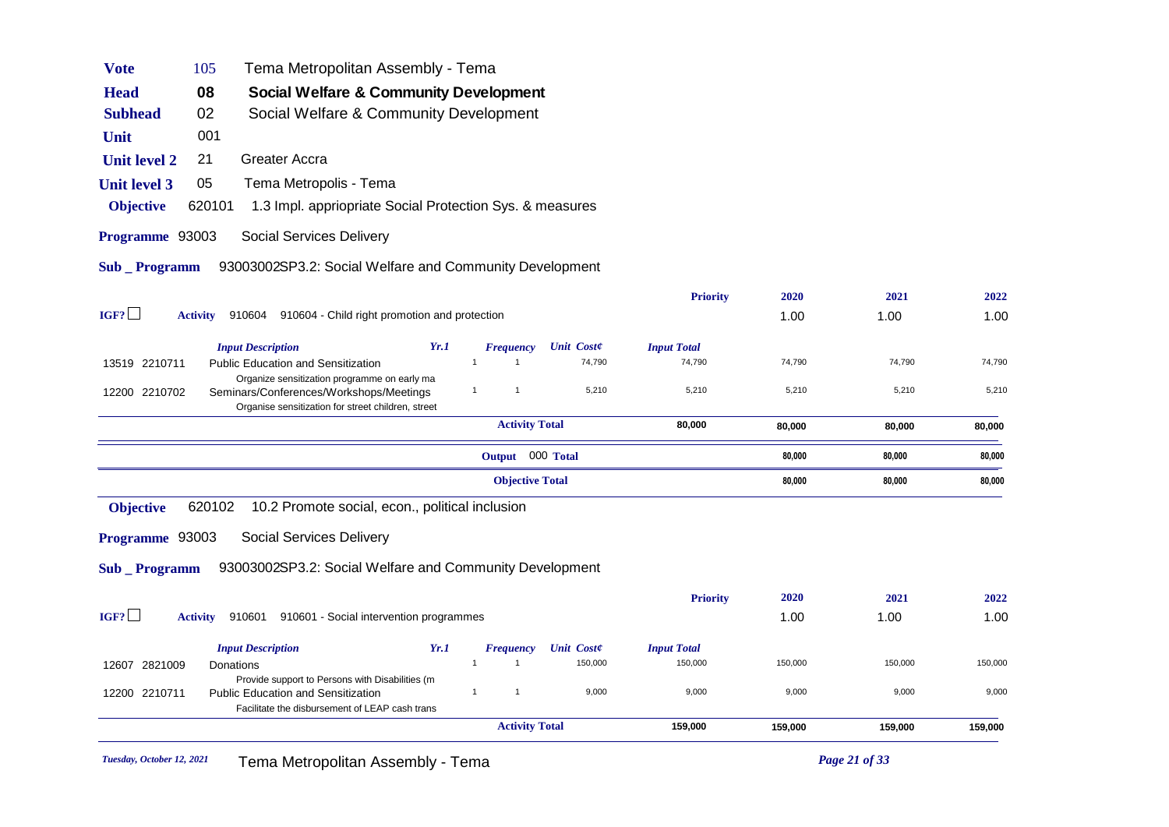| <b>Vote</b>         | 105             | Tema Metropolitan Assembly - Tema                                                                                                               |      |                              |                   |                    |         |         |         |
|---------------------|-----------------|-------------------------------------------------------------------------------------------------------------------------------------------------|------|------------------------------|-------------------|--------------------|---------|---------|---------|
| <b>Head</b>         | 08              | Social Welfare & Community Development                                                                                                          |      |                              |                   |                    |         |         |         |
| <b>Subhead</b>      | 02              | Social Welfare & Community Development                                                                                                          |      |                              |                   |                    |         |         |         |
| Unit                | 001             |                                                                                                                                                 |      |                              |                   |                    |         |         |         |
| <b>Unit level 2</b> | 21              | <b>Greater Accra</b>                                                                                                                            |      |                              |                   |                    |         |         |         |
| <b>Unit level 3</b> | 05              | Tema Metropolis - Tema                                                                                                                          |      |                              |                   |                    |         |         |         |
| <b>Objective</b>    | 620101          | 1.3 Impl. appriopriate Social Protection Sys. & measures                                                                                        |      |                              |                   |                    |         |         |         |
| Programme 93003     |                 | Social Services Delivery                                                                                                                        |      |                              |                   |                    |         |         |         |
| Sub _ Programm      |                 | 93003002SP3.2: Social Welfare and Community Development                                                                                         |      |                              |                   |                    |         |         |         |
|                     |                 |                                                                                                                                                 |      |                              |                   | <b>Priority</b>    | 2020    | 2021    | 2022    |
| IGF?                | <b>Activity</b> | 910604 910604 - Child right promotion and protection                                                                                            |      |                              |                   |                    | 1.00    | 1.00    | 1.00    |
|                     |                 | <b>Input Description</b>                                                                                                                        | Yr.1 | <b>Frequency</b>             | <b>Unit Coste</b> | <b>Input Total</b> |         |         |         |
| 13519 2210711       |                 | <b>Public Education and Sensitization</b>                                                                                                       |      | $\mathbf{1}$<br>$\mathbf{1}$ | 74,790            | 74,790             | 74,790  | 74,790  | 74,790  |
| 12200 2210702       |                 | Organize sensitization programme on early ma<br>Seminars/Conferences/Workshops/Meetings<br>Organise sensitization for street children, street   |      | $\mathbf{1}$<br>$\mathbf{1}$ | 5,210             | 5,210              | 5,210   | 5,210   | 5,210   |
|                     |                 |                                                                                                                                                 |      | <b>Activity Total</b>        |                   | 80,000             | 80,000  | 80,000  | 80,000  |
|                     |                 |                                                                                                                                                 |      | Output 000 Total             |                   |                    | 80,000  | 80,000  | 80,000  |
|                     |                 |                                                                                                                                                 |      | <b>Objective Total</b>       |                   |                    | 80,000  | 80,000  | 80,000  |
| <b>Objective</b>    | 620102          | 10.2 Promote social, econ., political inclusion                                                                                                 |      |                              |                   |                    |         |         |         |
| Programme 93003     |                 | Social Services Delivery                                                                                                                        |      |                              |                   |                    |         |         |         |
| <b>Sub</b> Programm |                 | 93003002SP3.2: Social Welfare and Community Development                                                                                         |      |                              |                   |                    |         |         |         |
|                     |                 |                                                                                                                                                 |      |                              |                   | <b>Priority</b>    | 2020    | 2021    | 2022    |
| IGF?                | <b>Activity</b> | 910601 910601 - Social intervention programmes                                                                                                  |      |                              |                   |                    | 1.00    | 1.00    | 1.00    |
|                     |                 | <b>Input Description</b>                                                                                                                        | Yr.1 | <b>Frequency</b>             | <b>Unit Coste</b> | <b>Input Total</b> |         |         |         |
| 12607 2821009       |                 | Donations                                                                                                                                       |      | $\mathbf{1}$<br>$\mathbf 1$  | 150,000           | 150,000            | 150,000 | 150,000 | 150,000 |
| 12200 2210711       |                 | Provide support to Persons with Disabilities (m.<br><b>Public Education and Sensitization</b><br>Facilitate the disbursement of LEAP cash trans |      | $\mathbf{1}$<br>$\mathbf{1}$ | 9,000             | 9,000              | 9,000   | 9,000   | 9,000   |
|                     |                 |                                                                                                                                                 |      | <b>Activity Total</b>        |                   | 159,000            | 159,000 | 159,000 | 159,000 |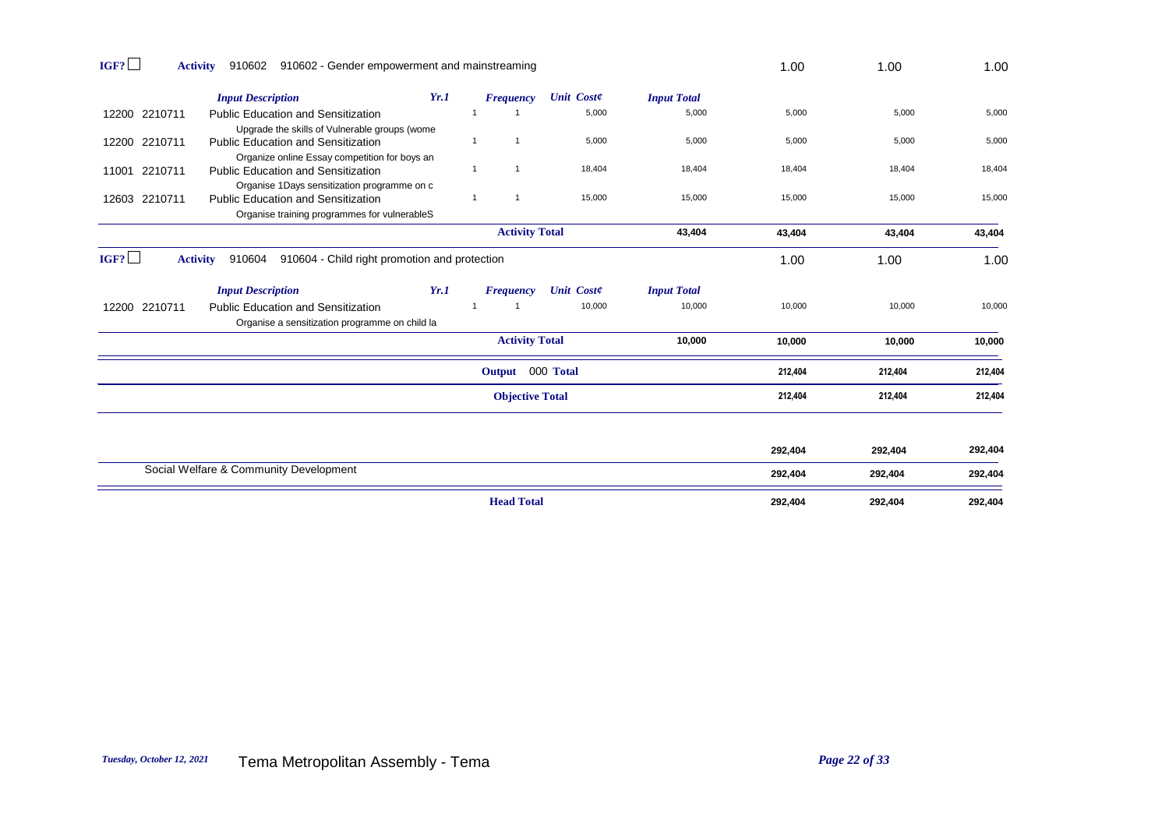| IGF?          | 910602 910602 - Gender empowerment and mainstreaming<br><b>Activity</b>                     |      |                              |                   |                    | 1.00    | 1.00    | 1.00    |
|---------------|---------------------------------------------------------------------------------------------|------|------------------------------|-------------------|--------------------|---------|---------|---------|
|               | <b>Input Description</b>                                                                    | Yr.1 | <b>Frequency</b>             | <b>Unit Coste</b> | <b>Input Total</b> |         |         |         |
| 12200 2210711 | <b>Public Education and Sensitization</b><br>Upgrade the skills of Vulnerable groups (wome  |      |                              | 5,000             | 5,000              | 5,000   | 5,000   | 5,000   |
| 12200 2210711 | <b>Public Education and Sensitization</b><br>Organize online Essay competition for boys an  |      | $\mathbf{1}$<br>$\mathbf{1}$ | 5,000             | 5,000              | 5,000   | 5,000   | 5,000   |
| 11001 2210711 | <b>Public Education and Sensitization</b><br>Organise 1Days sensitization programme on c    |      | $\mathbf{1}$                 | 18,404            | 18,404             | 18,404  | 18,404  | 18,404  |
| 12603 2210711 | <b>Public Education and Sensitization</b><br>Organise training programmes for vulnerableS   |      | $\mathbf{1}$<br>$\mathbf{1}$ | 15,000            | 15,000             | 15,000  | 15,000  | 15,000  |
|               |                                                                                             |      | <b>Activity Total</b>        |                   | 43,404             | 43,404  | 43,404  | 43,404  |
| IGF?          | 910604 910604 - Child right promotion and protection<br><b>Activity</b>                     |      |                              |                   |                    | 1.00    | 1.00    | 1.00    |
|               | <b>Input Description</b>                                                                    | Yr.1 | Frequency                    | <b>Unit Coste</b> | <b>Input Total</b> |         |         |         |
| 12200 2210711 | <b>Public Education and Sensitization</b><br>Organise a sensitization programme on child la |      |                              | 10,000            | 10,000             | 10,000  | 10,000  | 10,000  |
|               |                                                                                             |      | <b>Activity Total</b>        |                   | 10,000             | 10,000  | 10,000  | 10,000  |
|               |                                                                                             |      | Output 000 Total             |                   |                    | 212,404 | 212,404 | 212,404 |
|               |                                                                                             |      | <b>Objective Total</b>       |                   |                    | 212,404 | 212,404 | 212,404 |
|               |                                                                                             |      |                              |                   |                    |         |         |         |
|               |                                                                                             |      |                              |                   |                    | 292,404 | 292,404 | 292,404 |
|               | Social Welfare & Community Development                                                      |      |                              |                   |                    | 292,404 | 292,404 | 292,404 |
|               |                                                                                             |      | <b>Head Total</b>            |                   |                    | 292,404 | 292,404 | 292,404 |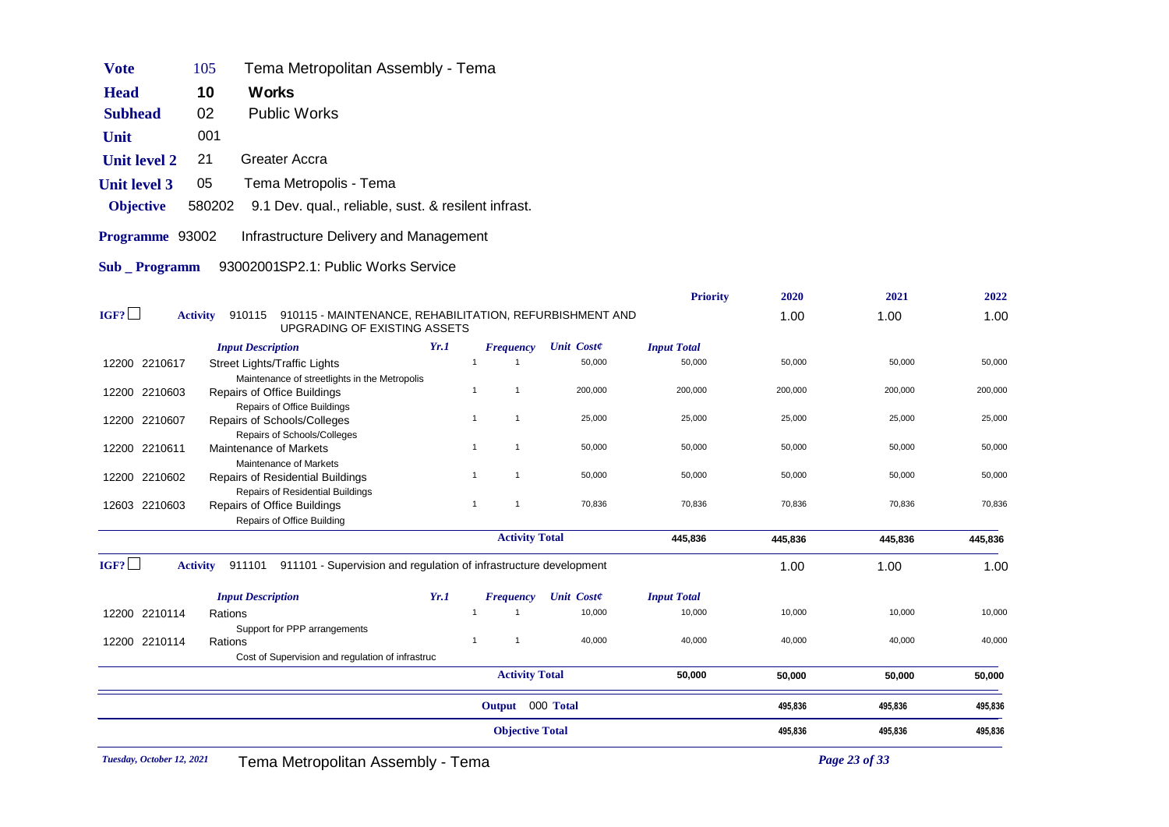| <b>Vote</b>          | 105             | Tema Metropolitan Assembly - Tema                                                                  |  |  |  |  |  |  |
|----------------------|-----------------|----------------------------------------------------------------------------------------------------|--|--|--|--|--|--|
| <b>Head</b>          | 10              | Works                                                                                              |  |  |  |  |  |  |
| 02<br><b>Subhead</b> |                 | <b>Public Works</b>                                                                                |  |  |  |  |  |  |
| Unit                 | 001             |                                                                                                    |  |  |  |  |  |  |
| <b>Unit level 2</b>  | 21              | Greater Accra                                                                                      |  |  |  |  |  |  |
| <b>Unit level 3</b>  | 05              | Tema Metropolis - Tema                                                                             |  |  |  |  |  |  |
| <b>Objective</b>     | 580202          | 9.1 Dev. qual., reliable, sust. & resilent infrast.                                                |  |  |  |  |  |  |
| Programme 93002      |                 | Infrastructure Delivery and Management                                                             |  |  |  |  |  |  |
| <b>Sub</b> Programm  |                 | 93002001SP2.1: Public Works Service                                                                |  |  |  |  |  |  |
| IGF?                 | <b>Activity</b> | 910115 - MAINTENANCE, REHABILITATION, REFURBISHMENT AND<br>910115<br>LIPGRADING OF EXISTING ASSETS |  |  |  |  |  |  |

| 12200 2210114<br>12200 2210114 | <b>Input Description</b><br>Rations<br>Support for PPP arrangements<br>Rations<br>Cost of Supervision and regulation of infrastruc | Yr.1 | <b>Frequency</b><br>-1<br><b>Activity Total</b><br>Output 000 Total | <b>Unit Coste</b><br>10,000<br>40,000 | <b>Input Total</b><br>10,000<br>40,000<br>50,000 | 10,000<br>40,000<br>50,000<br>495,836 | 10,000<br>40,000<br>50,000<br>495,836 | 50,000<br>495,836 |
|--------------------------------|------------------------------------------------------------------------------------------------------------------------------------|------|---------------------------------------------------------------------|---------------------------------------|--------------------------------------------------|---------------------------------------|---------------------------------------|-------------------|
|                                |                                                                                                                                    |      |                                                                     |                                       |                                                  |                                       |                                       |                   |
|                                |                                                                                                                                    |      |                                                                     |                                       |                                                  |                                       |                                       |                   |
|                                |                                                                                                                                    |      |                                                                     |                                       |                                                  |                                       |                                       | 10,000<br>40,000  |
|                                |                                                                                                                                    |      |                                                                     |                                       |                                                  |                                       |                                       |                   |
|                                |                                                                                                                                    |      |                                                                     |                                       |                                                  |                                       |                                       |                   |
|                                |                                                                                                                                    |      |                                                                     |                                       |                                                  |                                       |                                       |                   |
|                                |                                                                                                                                    |      |                                                                     |                                       |                                                  |                                       |                                       |                   |
| IGF?                           | 911101<br>911101 - Supervision and regulation of infrastructure development<br><b>Activity</b>                                     |      |                                                                     |                                       |                                                  | 1.00                                  | 1.00                                  | 1.00              |
|                                |                                                                                                                                    |      | <b>Activity Total</b>                                               |                                       | 445,836                                          | 445,836                               | 445,836                               | 445,836           |
|                                | Repairs of Office Building                                                                                                         |      |                                                                     |                                       |                                                  |                                       |                                       |                   |
| 12603 2210603                  | <b>Repairs of Office Buildings</b>                                                                                                 |      | $\overline{1}$                                                      | 70,836                                | 70,836                                           | 70,836                                | 70,836                                | 70,836            |
| 12200 2210602                  | <b>Repairs of Residential Buildings</b><br><b>Repairs of Residential Buildings</b>                                                 |      |                                                                     | 50,000                                | 50,000                                           | 50,000                                | 50,000                                | 50,000            |
|                                | Maintenance of Markets                                                                                                             |      |                                                                     |                                       |                                                  |                                       |                                       |                   |
| 12200 2210611                  | Maintenance of Markets                                                                                                             |      | $\overline{1}$                                                      | 50,000                                | 50,000                                           | 50,000                                | 50,000                                | 50,000            |
|                                | Repairs of Schools/Colleges                                                                                                        |      |                                                                     |                                       |                                                  |                                       |                                       |                   |
| 12200 2210607                  | Repairs of Office Buildings<br>Repairs of Schools/Colleges                                                                         |      | $\overline{1}$                                                      | 25,000                                | 25,000                                           | 25,000                                | 25,000                                | 25,000            |
| 12200 2210603                  | Repairs of Office Buildings                                                                                                        |      |                                                                     | 200,000                               | 200,000                                          | 200,000                               | 200,000                               | 200,000           |
|                                | Maintenance of streetlights in the Metropolis                                                                                      |      |                                                                     |                                       |                                                  |                                       |                                       |                   |
|                                | <b>Input Description</b><br><b>Street Lights/Traffic Lights</b>                                                                    |      |                                                                     | 50,000                                | 50,000                                           | 50,000                                | 50,000                                | 50,000            |
| 12200 2210617                  |                                                                                                                                    | Yr.1 | <b>Frequency</b>                                                    | <b>Unit Coste</b>                     | <b>Input Total</b>                               |                                       |                                       |                   |
|                                |                                                                                                                                    |      |                                                                     |                                       |                                                  |                                       |                                       |                   |

**Priority 2020 2021 2022**

1.00 1.00 1.00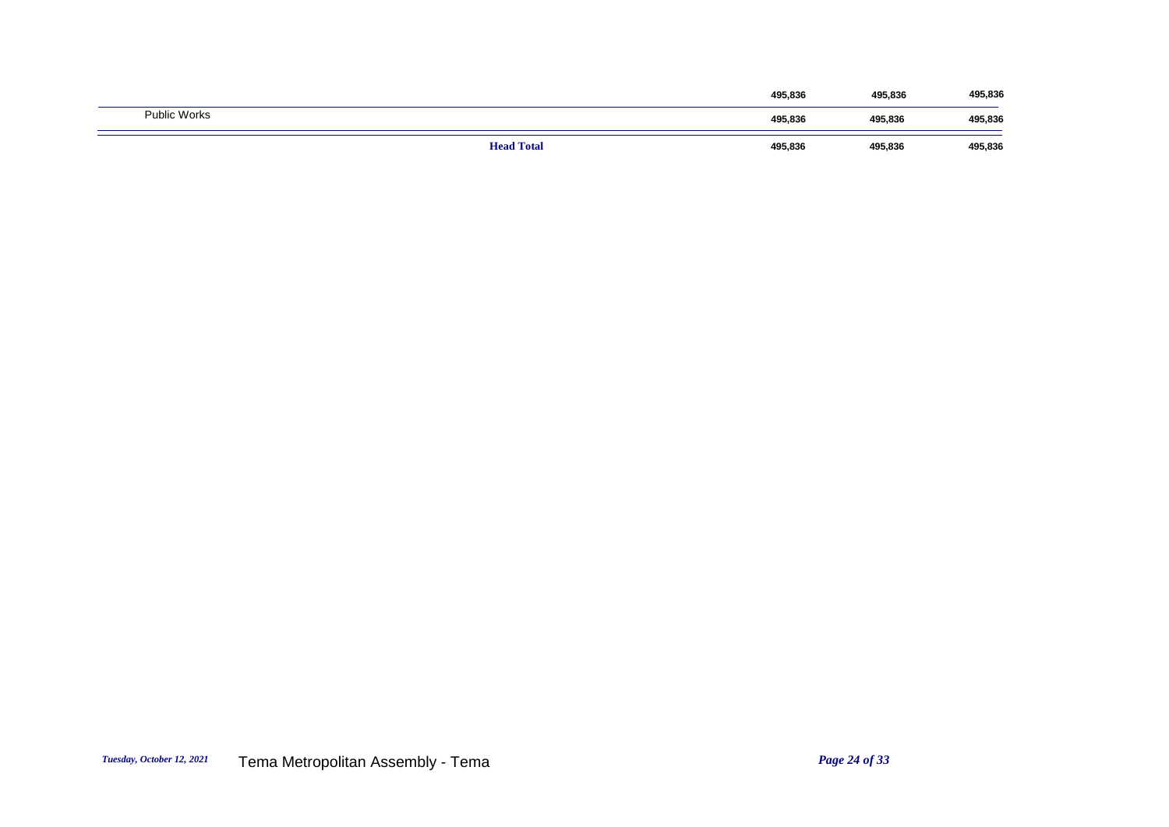|                     | <b>Head Total</b> | 495,836 | 495,836 | 495,836 |
|---------------------|-------------------|---------|---------|---------|
| <b>Public Works</b> |                   | 495,836 | 495,836 | 495,836 |
|                     |                   | 495,836 | 495,836 | 495,836 |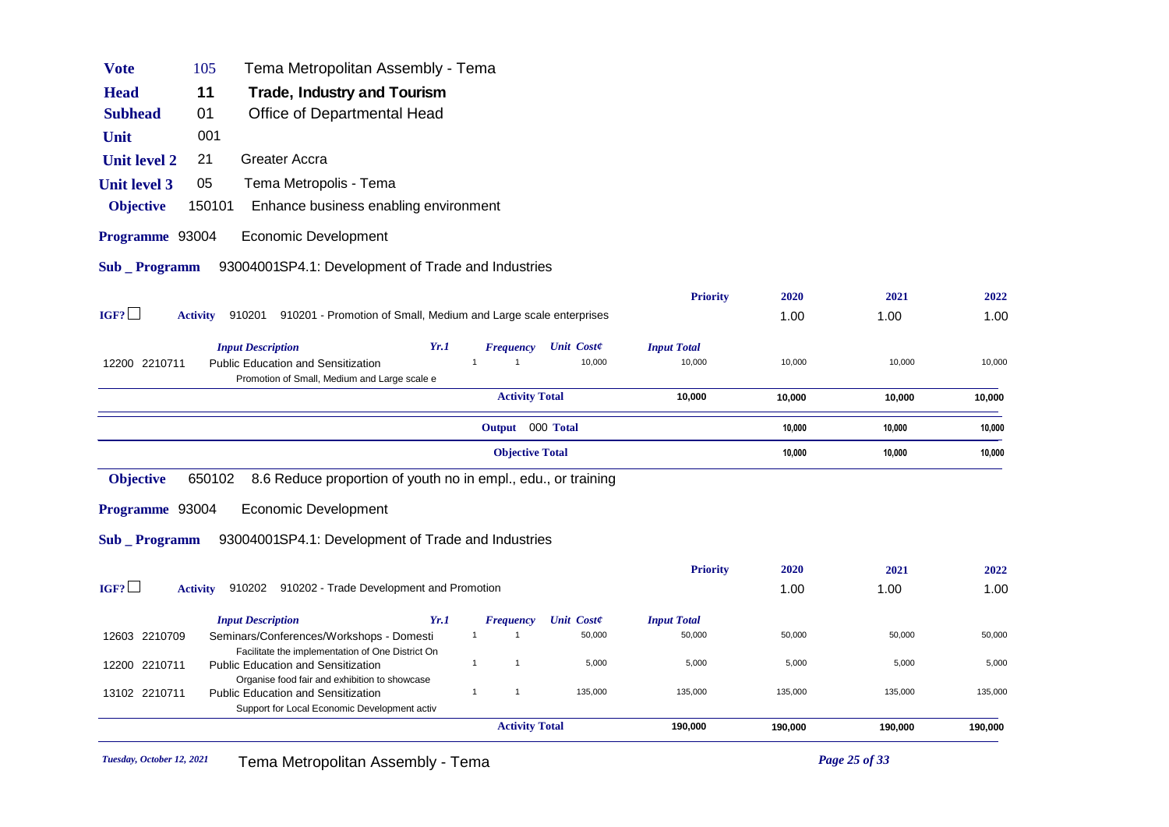| <b>Vote</b>           | 105             | Tema Metropolitan Assembly - Tema                                                             |                                                                 |                    |         |         |         |
|-----------------------|-----------------|-----------------------------------------------------------------------------------------------|-----------------------------------------------------------------|--------------------|---------|---------|---------|
| <b>Head</b>           | 11              | Trade, Industry and Tourism                                                                   |                                                                 |                    |         |         |         |
| <b>Subhead</b>        | 01              | Office of Departmental Head                                                                   |                                                                 |                    |         |         |         |
| Unit                  | 001             |                                                                                               |                                                                 |                    |         |         |         |
| <b>Unit level 2</b>   | 21              | Greater Accra                                                                                 |                                                                 |                    |         |         |         |
| <b>Unit level 3</b>   | 05              | Tema Metropolis - Tema                                                                        |                                                                 |                    |         |         |         |
| <b>Objective</b>      | 150101          | Enhance business enabling environment                                                         |                                                                 |                    |         |         |         |
| Programme 93004       |                 | <b>Economic Development</b>                                                                   |                                                                 |                    |         |         |         |
| <b>Sub</b> _ Programm |                 | 93004001SP4.1: Development of Trade and Industries                                            |                                                                 |                    |         |         |         |
|                       |                 |                                                                                               |                                                                 | <b>Priority</b>    | 2020    | 2021    | 2022    |
| IGF?                  | <b>Activity</b> | 910201                                                                                        | 910201 - Promotion of Small, Medium and Large scale enterprises |                    | 1.00    | 1.00    | 1.00    |
|                       |                 | <b>Input Description</b>                                                                      | Yr.1<br><b>Unit Coste</b><br><b>Frequency</b>                   | <b>Input Total</b> |         |         |         |
| 12200 2210711         |                 | <b>Public Education and Sensitization</b><br>Promotion of Small, Medium and Large scale e     | 10,000<br>$\overline{1}$                                        | 10,000             | 10,000  | 10,000  | 10,000  |
|                       |                 |                                                                                               | <b>Activity Total</b>                                           | 10,000             | 10,000  | 10,000  | 10,000  |
|                       |                 |                                                                                               | Output 000 Total                                                |                    | 10,000  | 10,000  | 10,000  |
|                       |                 |                                                                                               | <b>Objective Total</b>                                          |                    | 10,000  | 10,000  | 10,000  |
| <b>Objective</b>      | 650102          | 8.6 Reduce proportion of youth no in empl., edu., or training                                 |                                                                 |                    |         |         |         |
| Programme 93004       |                 | <b>Economic Development</b>                                                                   |                                                                 |                    |         |         |         |
| <b>Sub</b> Programm   |                 | 93004001SP4.1: Development of Trade and Industries                                            |                                                                 |                    |         |         |         |
|                       |                 |                                                                                               |                                                                 | <b>Priority</b>    | 2020    | 2021    | 2022    |
| IGF?                  | <b>Activity</b> | 910202 910202 - Trade Development and Promotion                                               |                                                                 |                    | 1.00    | 1.00    | 1.00    |
|                       |                 | <b>Input Description</b>                                                                      | Yr.1<br><b>Frequency</b><br><b>Unit Coste</b>                   | <b>Input Total</b> |         |         |         |
| 12603 2210709         |                 | Seminars/Conferences/Workshops - Domesti                                                      | 50,000<br>$\mathbf{1}$<br>$\overline{1}$                        | 50,000             | 50,000  | 50,000  | 50,000  |
| 12200 2210711         |                 | Facilitate the implementation of One District On<br><b>Public Education and Sensitization</b> | $\mathbf{1}$<br>5,000<br>$\mathbf{1}$                           | 5,000              | 5,000   | 5,000   | 5,000   |
| 13102 2210711         |                 | Organise food fair and exhibition to showcase<br><b>Public Education and Sensitization</b>    | 135,000<br>$\mathbf{1}$<br>$\mathbf{1}$                         | 135,000            | 135,000 | 135,000 | 135,000 |
|                       |                 | Support for Local Economic Development activ                                                  |                                                                 |                    |         |         |         |
|                       |                 |                                                                                               | <b>Activity Total</b>                                           | 190,000            | 190,000 | 190,000 | 190,000 |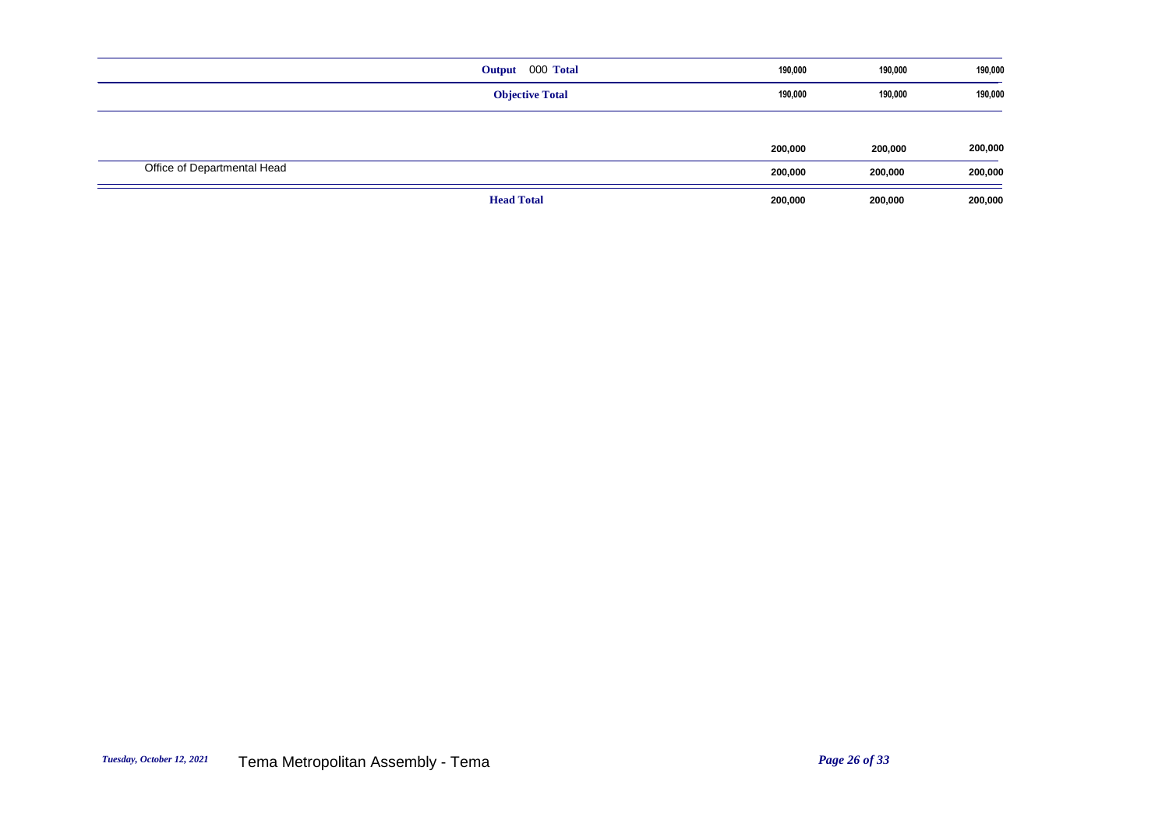|                             | 000 Total<br>Output    | 190,000 | 190,000 | 190,000 |
|-----------------------------|------------------------|---------|---------|---------|
|                             | <b>Objective Total</b> | 190,000 | 190,000 | 190,000 |
|                             |                        |         |         |         |
|                             |                        | 200,000 | 200,000 | 200,000 |
| Office of Departmental Head |                        | 200,000 | 200,000 | 200,000 |
|                             | <b>Head Total</b>      | 200,000 | 200,000 | 200,000 |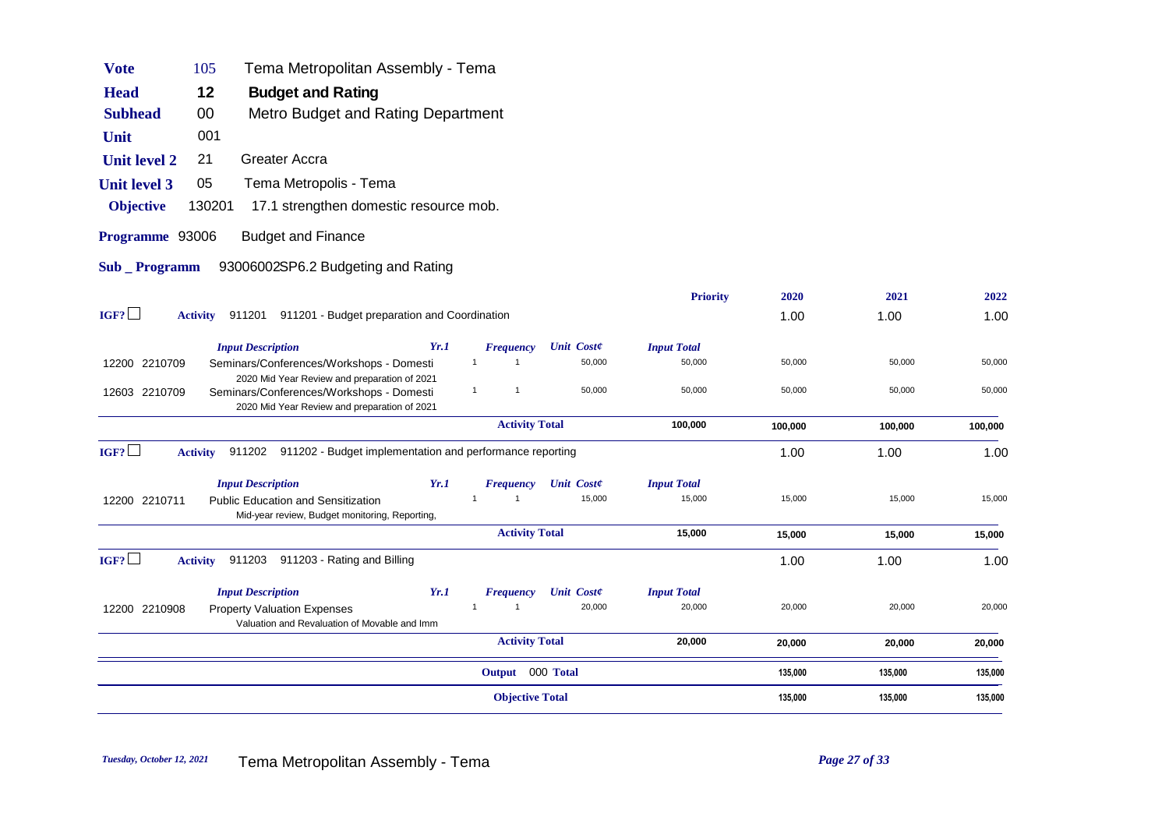| <b>Vote</b>         | 105             | Tema Metropolitan Assembly - Tema                                                                                                        |      |                                  |                   |        |                    |         |         |         |
|---------------------|-----------------|------------------------------------------------------------------------------------------------------------------------------------------|------|----------------------------------|-------------------|--------|--------------------|---------|---------|---------|
| <b>Head</b>         | 12              | <b>Budget and Rating</b>                                                                                                                 |      |                                  |                   |        |                    |         |         |         |
| <b>Subhead</b>      | 00              | Metro Budget and Rating Department                                                                                                       |      |                                  |                   |        |                    |         |         |         |
| Unit                | 001             |                                                                                                                                          |      |                                  |                   |        |                    |         |         |         |
| <b>Unit level 2</b> | 21              | Greater Accra                                                                                                                            |      |                                  |                   |        |                    |         |         |         |
| <b>Unit level 3</b> | 05              | Tema Metropolis - Tema                                                                                                                   |      |                                  |                   |        |                    |         |         |         |
| <b>Objective</b>    | 130201          | 17.1 strengthen domestic resource mob.                                                                                                   |      |                                  |                   |        |                    |         |         |         |
| Programme 93006     |                 | <b>Budget and Finance</b>                                                                                                                |      |                                  |                   |        |                    |         |         |         |
| <b>Sub</b> Programm |                 | 93006002SP6.2 Budgeting and Rating                                                                                                       |      |                                  |                   |        |                    |         |         |         |
|                     |                 |                                                                                                                                          |      |                                  |                   |        | <b>Priority</b>    | 2020    | 2021    | 2022    |
| IGF?                | <b>Activity</b> | 911201 911201 - Budget preparation and Coordination                                                                                      |      |                                  |                   |        |                    | 1.00    | 1.00    | 1.00    |
|                     |                 | <b>Input Description</b>                                                                                                                 | Yr.1 | <b>Frequency</b>                 | <b>Unit Coste</b> |        | <b>Input Total</b> |         |         |         |
| 12200 2210709       |                 | Seminars/Conferences/Workshops - Domesti                                                                                                 |      | $\mathbf{1}$<br>$\overline{1}$   |                   | 50,000 | 50,000             | 50,000  | 50,000  | 50,000  |
| 12603 2210709       |                 | 2020 Mid Year Review and preparation of 2021<br>Seminars/Conferences/Workshops - Domesti<br>2020 Mid Year Review and preparation of 2021 |      | $\mathbf{1}$<br>$\overline{1}$   |                   | 50,000 | 50,000             | 50,000  | 50,000  | 50,000  |
|                     |                 |                                                                                                                                          |      | <b>Activity Total</b>            |                   |        | 100,000            | 100,000 | 100,000 | 100,000 |
| IGF?                | <b>Activity</b> | 911202 911202 - Budget implementation and performance reporting                                                                          |      |                                  |                   |        |                    | 1.00    | 1.00    | 1.00    |
|                     |                 | <b>Input Description</b>                                                                                                                 | Yr.1 | <b>Frequency</b>                 | <b>Unit Coste</b> |        | <b>Input Total</b> |         |         |         |
| 12200 2210711       |                 | <b>Public Education and Sensitization</b><br>Mid-year review, Budget monitoring, Reporting,                                              |      | $\overline{1}$<br>$\overline{1}$ |                   | 15,000 | 15,000             | 15,000  | 15,000  | 15,000  |
|                     |                 |                                                                                                                                          |      | <b>Activity Total</b>            |                   |        | 15,000             | 15,000  | 15,000  | 15,000  |
| IGF?                | <b>Activity</b> | 911203<br>911203 - Rating and Billing                                                                                                    |      |                                  |                   |        |                    | 1.00    | 1.00    | 1.00    |
|                     |                 | <b>Input Description</b>                                                                                                                 | Yr.1 | <b>Frequency</b>                 | <b>Unit Coste</b> |        | <b>Input Total</b> |         |         |         |
| 12200 2210908       |                 | <b>Property Valuation Expenses</b><br>Valuation and Revaluation of Movable and Imm                                                       |      | $\overline{1}$<br>$\overline{1}$ |                   | 20,000 | 20,000             | 20,000  | 20,000  | 20,000  |
|                     |                 |                                                                                                                                          |      | <b>Activity Total</b>            |                   |        | 20,000             | 20,000  | 20,000  | 20,000  |
|                     |                 |                                                                                                                                          |      | Output 000 Total                 |                   |        |                    | 135,000 | 135,000 | 135,000 |
|                     |                 |                                                                                                                                          |      | <b>Objective Total</b>           |                   |        |                    | 135,000 | 135,000 | 135,000 |
|                     |                 |                                                                                                                                          |      |                                  |                   |        |                    |         |         |         |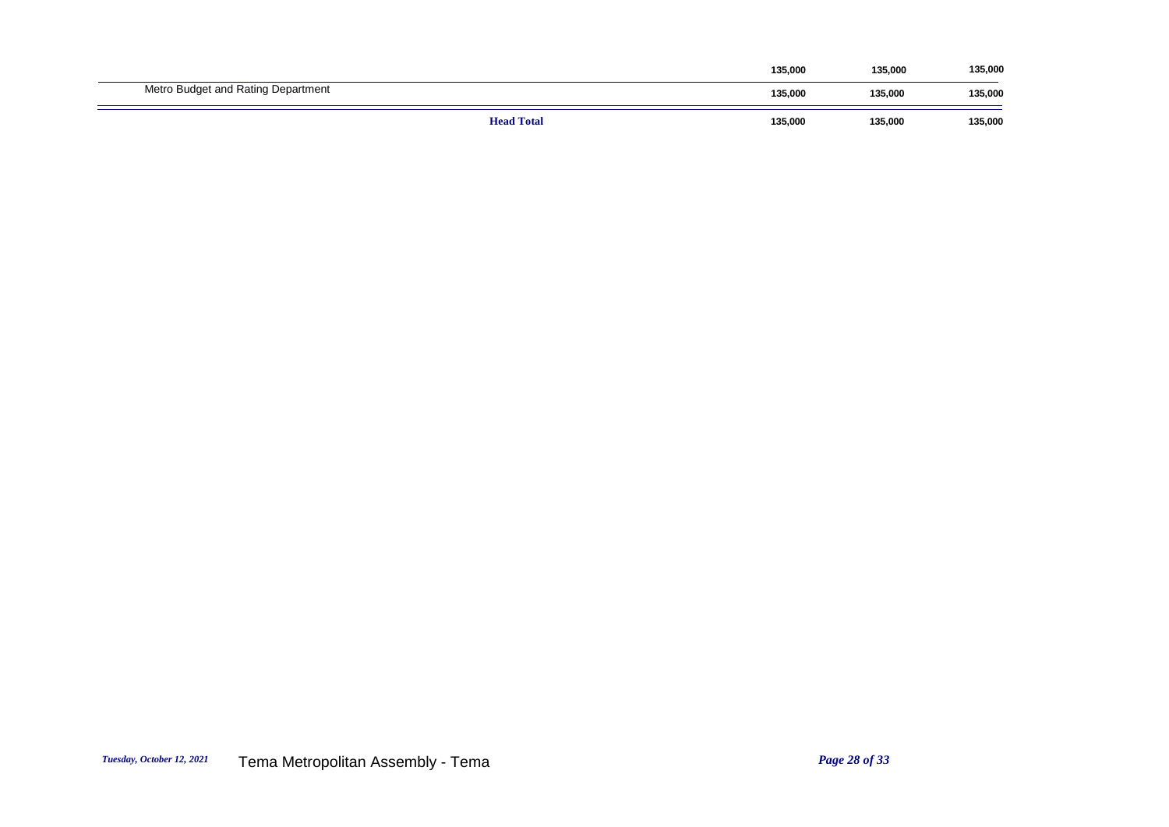|                                    |                   | 135,000 | 135,000 | 135,000 |
|------------------------------------|-------------------|---------|---------|---------|
| Metro Budget and Rating Department |                   | 135,000 | 135.000 | 135,000 |
|                                    | <b>Head Total</b> | 135,000 | 135,000 | 135,000 |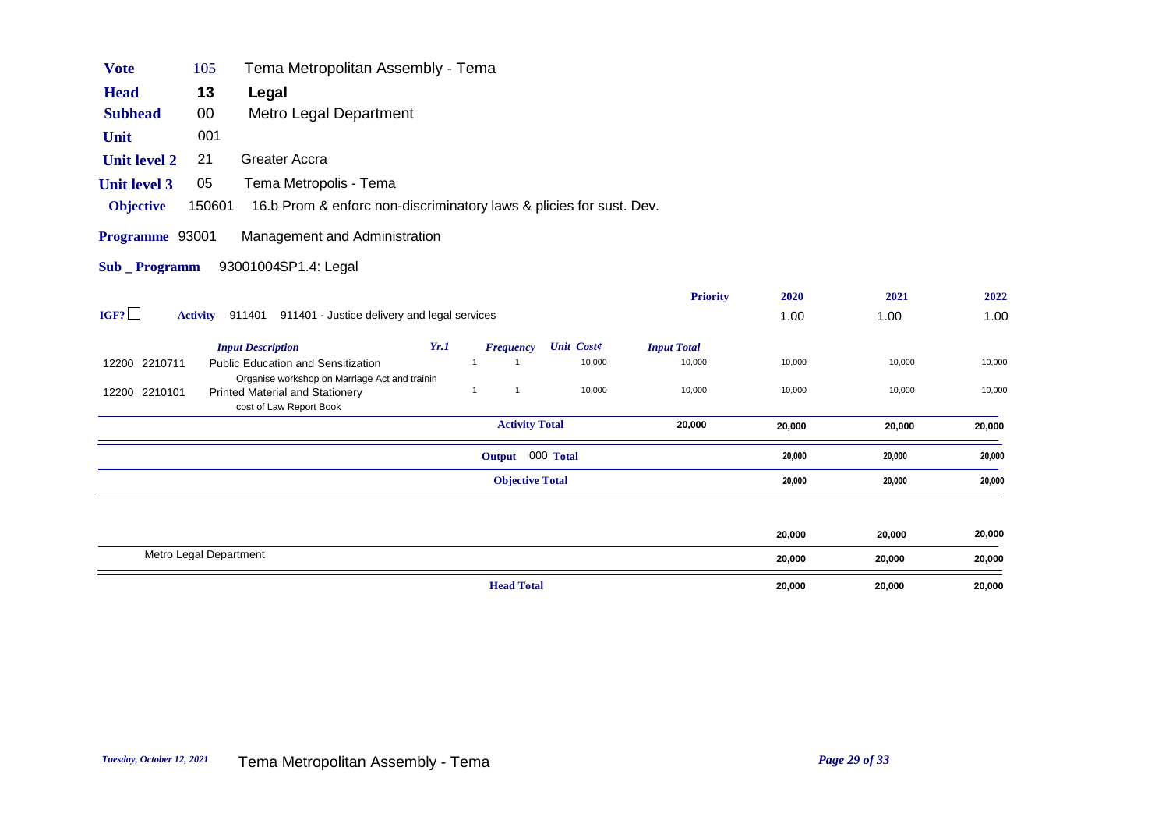| <b>Vote</b>                            | 105    | Tema Metropolitan Assembly - Tema                                                                           |      |              |                        |                   |        |                    |        |        |        |
|----------------------------------------|--------|-------------------------------------------------------------------------------------------------------------|------|--------------|------------------------|-------------------|--------|--------------------|--------|--------|--------|
| <b>Head</b>                            | 13     | Legal                                                                                                       |      |              |                        |                   |        |                    |        |        |        |
| <b>Subhead</b>                         | $00\,$ | Metro Legal Department                                                                                      |      |              |                        |                   |        |                    |        |        |        |
| Unit                                   | 001    |                                                                                                             |      |              |                        |                   |        |                    |        |        |        |
| <b>Unit level 2</b>                    | 21     | Greater Accra                                                                                               |      |              |                        |                   |        |                    |        |        |        |
| <b>Unit level 3</b>                    | 05     | Tema Metropolis - Tema                                                                                      |      |              |                        |                   |        |                    |        |        |        |
| <b>Objective</b>                       | 150601 | 16.b Prom & enforc non-discriminatory laws & plicies for sust. Dev.                                         |      |              |                        |                   |        |                    |        |        |        |
| Programme 93001<br><b>Sub</b> Programm |        | Management and Administration<br>93001004SP1.4: Legal                                                       |      |              |                        |                   |        |                    |        |        |        |
|                                        |        |                                                                                                             |      |              |                        |                   |        | <b>Priority</b>    | 2020   | 2021   | 2022   |
| IGF?                                   |        | Activity 911401 911401 - Justice delivery and legal services                                                |      |              |                        |                   |        |                    | 1.00   | 1.00   | 1.00   |
|                                        |        | <b>Input Description</b>                                                                                    | Yr.1 |              | <b>Frequency</b>       | <b>Unit Coste</b> |        | <b>Input Total</b> |        |        |        |
| 12200 2210711                          |        | <b>Public Education and Sensitization</b>                                                                   |      |              |                        |                   | 10,000 | 10,000             | 10,000 | 10,000 | 10,000 |
| 12200 2210101                          |        | Organise workshop on Marriage Act and trainin<br>Printed Material and Stationery<br>cost of Law Report Book |      | $\mathbf{1}$ | -1                     |                   | 10,000 | 10,000             | 10,000 | 10,000 | 10,000 |
|                                        |        |                                                                                                             |      |              | <b>Activity Total</b>  |                   |        | 20,000             | 20,000 | 20,000 | 20,000 |
|                                        |        |                                                                                                             |      |              | Output 000 Total       |                   |        |                    | 20,000 | 20,000 | 20,000 |
|                                        |        |                                                                                                             |      |              | <b>Objective Total</b> |                   |        |                    | 20,000 | 20,000 | 20,000 |

| <b>Head Total</b>      | 20,000 | 20,000 | 20,000 |
|------------------------|--------|--------|--------|
| Metro Legal Department | 20,000 | 20,000 | 20,000 |
|                        | 20,000 | 20,000 | 20,000 |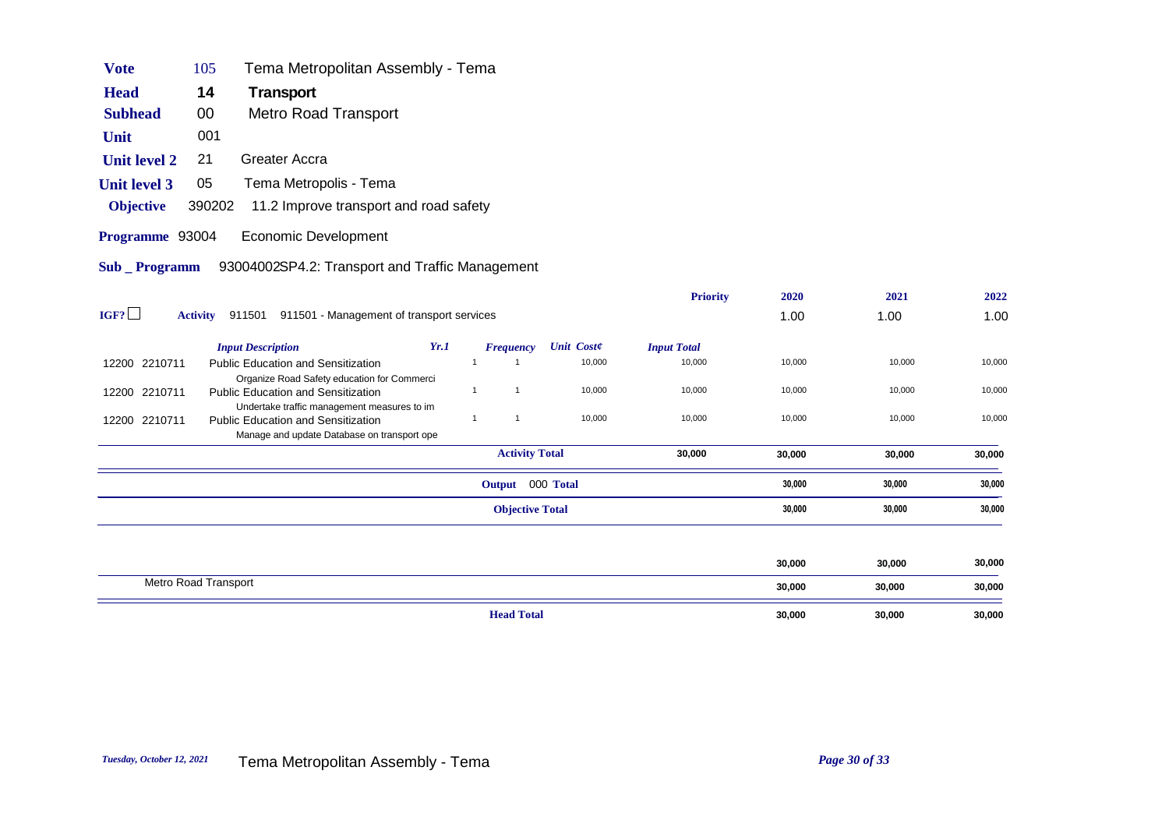| <b>Vote</b>         | 105                  | Tema Metropolitan Assembly - Tema                                                        |      |                |                        |                   |                    |        |        |        |
|---------------------|----------------------|------------------------------------------------------------------------------------------|------|----------------|------------------------|-------------------|--------------------|--------|--------|--------|
| <b>Head</b>         | 14                   | Transport                                                                                |      |                |                        |                   |                    |        |        |        |
| <b>Subhead</b>      | 00                   | <b>Metro Road Transport</b>                                                              |      |                |                        |                   |                    |        |        |        |
| Unit                | 001                  |                                                                                          |      |                |                        |                   |                    |        |        |        |
| <b>Unit level 2</b> | 21                   | <b>Greater Accra</b>                                                                     |      |                |                        |                   |                    |        |        |        |
| <b>Unit level 3</b> | 05                   | Tema Metropolis - Tema                                                                   |      |                |                        |                   |                    |        |        |        |
| <b>Objective</b>    | 390202               | 11.2 Improve transport and road safety                                                   |      |                |                        |                   |                    |        |        |        |
| Programme 93004     |                      | Economic Development                                                                     |      |                |                        |                   |                    |        |        |        |
| Sub _ Programm      |                      | 93004002SP4.2: Transport and Traffic Management                                          |      |                |                        |                   |                    |        |        |        |
|                     |                      |                                                                                          |      |                |                        |                   | <b>Priority</b>    | 2020   | 2021   | 2022   |
| IGF?                |                      | Activity 911501 911501 - Management of transport services                                |      |                |                        |                   |                    | 1.00   | 1.00   | 1.00   |
|                     |                      | <b>Input Description</b>                                                                 | Yr.1 |                | <b>Frequency</b>       | <b>Unit Coste</b> | <b>Input Total</b> |        |        |        |
| 12200 2210711       |                      | <b>Public Education and Sensitization</b>                                                |      | $\overline{1}$ | $\overline{1}$         | 10,000            | 10,000             | 10,000 | 10,000 | 10,000 |
| 12200 2210711       |                      | Organize Road Safety education for Commerci<br><b>Public Education and Sensitization</b> |      | $\mathbf{1}$   | $\mathbf{1}$           | 10,000            | 10,000             | 10,000 | 10,000 | 10,000 |
|                     |                      | Undertake traffic management measures to im                                              |      |                |                        |                   |                    |        |        |        |
| 12200 2210711       |                      | <b>Public Education and Sensitization</b><br>Manage and update Database on transport ope |      | $\mathbf{1}$   | $\mathbf{1}$           | 10,000            | 10,000             | 10,000 | 10,000 | 10,000 |
|                     |                      |                                                                                          |      |                | <b>Activity Total</b>  |                   | 30,000             | 30,000 | 30,000 | 30,000 |
|                     |                      |                                                                                          |      |                | Output 000 Total       |                   |                    | 30,000 | 30,000 | 30,000 |
|                     |                      |                                                                                          |      |                | <b>Objective Total</b> |                   |                    | 30,000 | 30,000 | 30,000 |
|                     |                      |                                                                                          |      |                |                        |                   |                    |        |        |        |
|                     |                      |                                                                                          |      |                |                        |                   |                    | 30,000 | 30,000 | 30,000 |
|                     | Metro Road Transport |                                                                                          |      |                |                        |                   |                    | 30,000 | 30,000 | 30,000 |
|                     |                      |                                                                                          |      |                | <b>Head Total</b>      |                   |                    | 30,000 | 30,000 | 30,000 |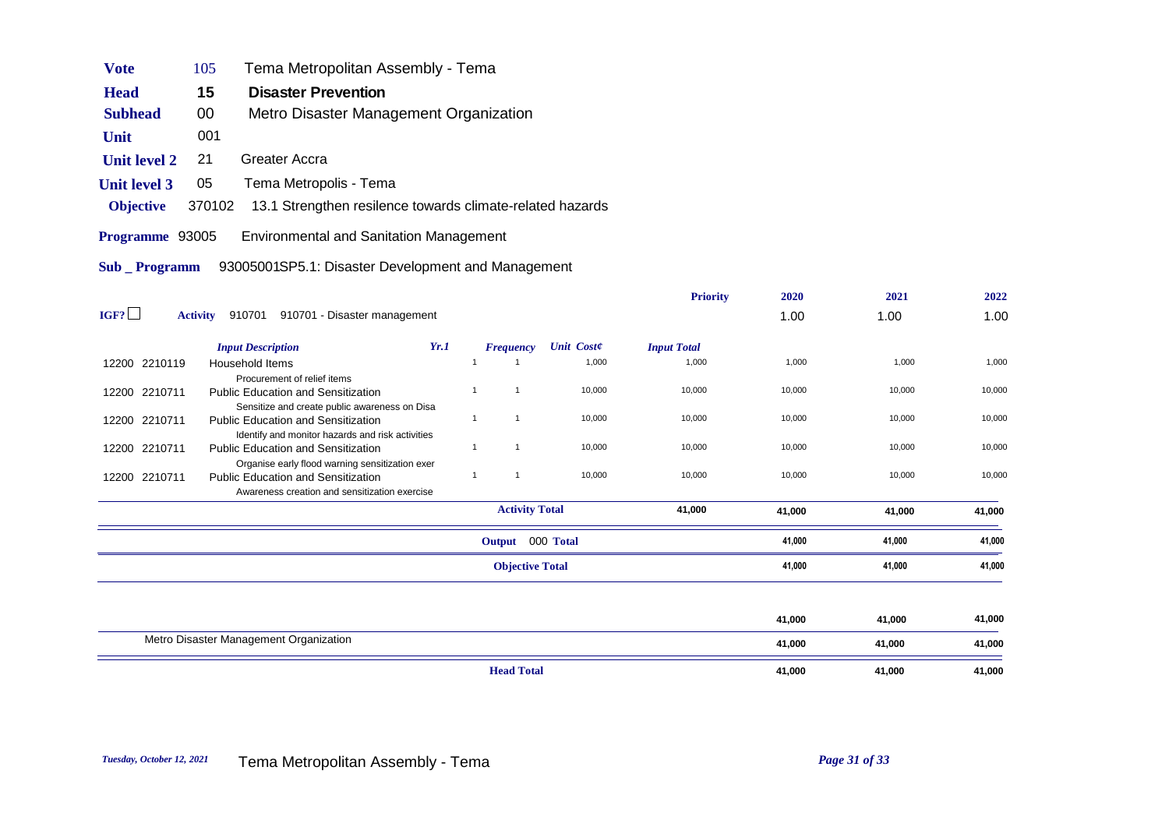| <b>Vote</b>         | 105             | Tema Metropolitan Assembly - Tema                                                             |              |                        |                   |                    |        |        |        |
|---------------------|-----------------|-----------------------------------------------------------------------------------------------|--------------|------------------------|-------------------|--------------------|--------|--------|--------|
| <b>Head</b>         | 15              | <b>Disaster Prevention</b>                                                                    |              |                        |                   |                    |        |        |        |
| <b>Subhead</b>      | 00              | Metro Disaster Management Organization                                                        |              |                        |                   |                    |        |        |        |
|                     |                 |                                                                                               |              |                        |                   |                    |        |        |        |
| Unit                | 001             |                                                                                               |              |                        |                   |                    |        |        |        |
| <b>Unit level 2</b> | 21              | Greater Accra                                                                                 |              |                        |                   |                    |        |        |        |
| <b>Unit level 3</b> | 05              | Tema Metropolis - Tema                                                                        |              |                        |                   |                    |        |        |        |
| <b>Objective</b>    | 370102          | 13.1 Strengthen resilence towards climate-related hazards                                     |              |                        |                   |                    |        |        |        |
| Programme 93005     |                 | <b>Environmental and Sanitation Management</b>                                                |              |                        |                   |                    |        |        |        |
|                     |                 |                                                                                               |              |                        |                   |                    |        |        |        |
| Sub Programm        |                 | 93005001SP5.1: Disaster Development and Management                                            |              |                        |                   |                    |        |        |        |
|                     |                 |                                                                                               |              |                        |                   | <b>Priority</b>    | 2020   | 2021   | 2022   |
| IGF?                | <b>Activity</b> | 910701 910701 - Disaster management                                                           |              |                        |                   |                    | 1.00   | 1.00   | 1.00   |
|                     |                 |                                                                                               |              |                        |                   |                    |        |        |        |
|                     |                 | Yr.1<br><b>Input Description</b>                                                              |              | <b>Frequency</b>       | <b>Unit Coste</b> | <b>Input Total</b> |        |        |        |
| 12200 2210119       |                 | <b>Household Items</b>                                                                        | $\mathbf{1}$ | $\mathbf{1}$           | 1,000             | 1,000              | 1,000  | 1,000  | 1,000  |
| 12200 2210711       |                 | Procurement of relief items<br><b>Public Education and Sensitization</b>                      | $\mathbf{1}$ | $\mathbf{1}$           | 10,000            | 10,000             | 10,000 | 10,000 | 10,000 |
|                     |                 | Sensitize and create public awareness on Disa                                                 |              |                        |                   |                    |        |        |        |
| 12200 2210711       |                 | <b>Public Education and Sensitization</b>                                                     | $\mathbf{1}$ | $\mathbf{1}$           | 10,000            | 10,000             | 10,000 | 10,000 | 10,000 |
| 12200 2210711       |                 | Identify and monitor hazards and risk activities<br><b>Public Education and Sensitization</b> | $\mathbf{1}$ | $\mathbf{1}$           | 10,000            | 10,000             | 10,000 | 10,000 | 10,000 |
|                     |                 | Organise early flood warning sensitization exer                                               |              |                        |                   |                    |        |        |        |
| 12200 2210711       |                 | <b>Public Education and Sensitization</b>                                                     | $\mathbf{1}$ | $\mathbf{1}$           | 10,000            | 10,000             | 10,000 | 10,000 | 10,000 |
|                     |                 | Awareness creation and sensitization exercise                                                 |              |                        |                   |                    |        |        |        |
|                     |                 |                                                                                               |              | <b>Activity Total</b>  |                   | 41,000             | 41,000 | 41,000 | 41,000 |
|                     |                 |                                                                                               |              | Output 000 Total       |                   |                    | 41,000 | 41,000 | 41,000 |
|                     |                 |                                                                                               |              | <b>Objective Total</b> |                   |                    | 41,000 | 41,000 | 41,000 |
|                     |                 |                                                                                               |              |                        |                   |                    |        |        |        |

| 41,000<br>41,000<br>Metro Disaster Management Organization<br>41,000<br>41,000 | 41,000 |
|--------------------------------------------------------------------------------|--------|
|                                                                                | 41,000 |
|                                                                                | 41,000 |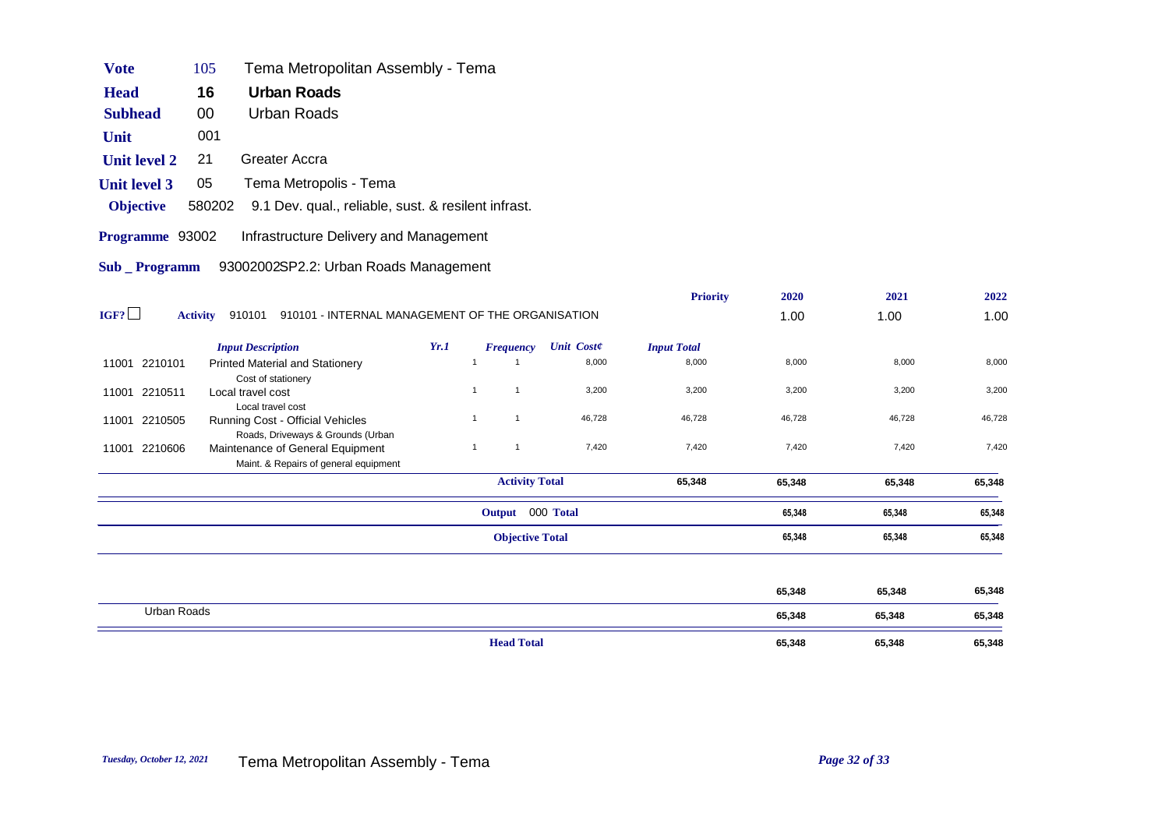| <b>Vote</b>         | 105                                                   | Tema Metropolitan Assembly - Tema                                                                              |                                            |                |                  |                   |                    |        |        |        |
|---------------------|-------------------------------------------------------|----------------------------------------------------------------------------------------------------------------|--------------------------------------------|----------------|------------------|-------------------|--------------------|--------|--------|--------|
| <b>Head</b>         | 16                                                    | <b>Urban Roads</b>                                                                                             |                                            |                |                  |                   |                    |        |        |        |
| <b>Subhead</b>      | 00                                                    | <b>Urban Roads</b>                                                                                             |                                            |                |                  |                   |                    |        |        |        |
| Unit                | 001                                                   |                                                                                                                |                                            |                |                  |                   |                    |        |        |        |
| <b>Unit level 2</b> | 21                                                    | Greater Accra                                                                                                  |                                            |                |                  |                   |                    |        |        |        |
| <b>Unit level 3</b> | 05                                                    | Tema Metropolis - Tema                                                                                         |                                            |                |                  |                   |                    |        |        |        |
| <b>Objective</b>    | 580202                                                | 9.1 Dev. qual., reliable, sust. & resilent infrast.                                                            |                                            |                |                  |                   |                    |        |        |        |
| Programme 93002     |                                                       | Infrastructure Delivery and Management                                                                         |                                            |                |                  |                   |                    |        |        |        |
| Sub _ Programm      |                                                       | 93002002SP2.2: Urban Roads Management                                                                          |                                            |                |                  |                   |                    |        |        |        |
|                     |                                                       |                                                                                                                |                                            |                |                  |                   | <b>Priority</b>    | 2020   | 2021   | 2022   |
| IGF?                | <b>Activity</b>                                       | 910101 910101 - INTERNAL MANAGEMENT OF THE ORGANISATION                                                        |                                            |                |                  |                   |                    | 1.00   | 1.00   | 1.00   |
|                     |                                                       | <b>Input Description</b>                                                                                       | Yr.1                                       |                | <b>Frequency</b> | <b>Unit Coste</b> | <b>Input Total</b> |        |        |        |
| 11001 2210101       |                                                       | <b>Printed Material and Stationery</b><br>Cost of stationery                                                   |                                            | $\overline{1}$ |                  | 8,000             | 8,000              | 8,000  | 8,000  | 8,000  |
| 11001 2210511       | Local travel cost                                     |                                                                                                                |                                            | $\mathbf{1}$   | $\mathbf{1}$     | 3,200             | 3,200              | 3,200  | 3,200  | 3,200  |
| 11001 2210505       | Local travel cost<br>Running Cost - Official Vehicles |                                                                                                                |                                            | $\mathbf{1}$   | $\mathbf{1}$     | 46,728            | 46,728             | 46,728 | 46,728 | 46,728 |
| 11001 2210606       |                                                       | Roads, Driveways & Grounds (Urban<br>Maintenance of General Equipment<br>Maint. & Repairs of general equipment |                                            | $\mathbf{1}$   | $\mathbf{1}$     | 7,420             | 7,420              | 7,420  | 7,420  | 7,420  |
|                     |                                                       |                                                                                                                | <b>Activity Total</b>                      |                |                  | 65,348            | 65,348             | 65,348 | 65,348 |        |
|                     |                                                       |                                                                                                                | Output 000 Total<br><b>Objective Total</b> |                |                  | 65,348            | 65,348             | 65,348 |        |        |
|                     |                                                       |                                                                                                                |                                            |                |                  |                   |                    | 65,348 | 65,348 | 65,348 |
|                     |                                                       |                                                                                                                |                                            |                |                  |                   |                    | 65,348 | 65,348 | 65,348 |
| <b>Lithan Roads</b> |                                                       |                                                                                                                |                                            |                |                  |                   |                    |        |        |        |

|             | <b>Head Total</b> | 65,348 | 65,348 | 65,348 |
|-------------|-------------------|--------|--------|--------|
| Urban Roads |                   | 65,348 | 65,348 | 65,348 |
|             |                   | 65,348 | 65,348 | 65,348 |

 $\frac{1}{2}$